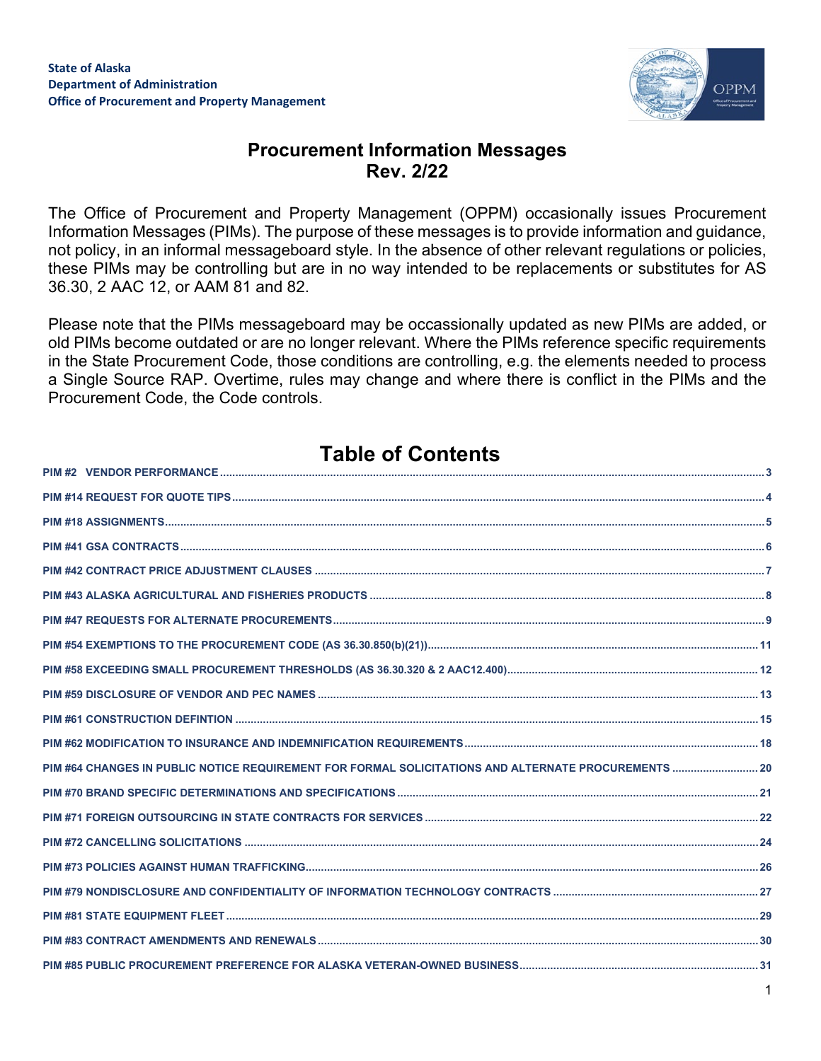

1

## **Procurement Information Messages Rev. 2/22**

The Office of Procurement and Property Management (OPPM) occasionally issues Procurement Information Messages (PIMs). The purpose of these messages is to provide information and guidance, not policy, in an informal messageboard style. In the absence of other relevant regulations or policies, these PIMs may be controlling but are in no way intended to be replacements or substitutes for AS 36.30, 2 AAC 12, or AAM 81 and 82.

Please note that the PIMs messageboard may be occassionally updated as new PIMs are added, or old PIMs become outdated or are no longer relevant. Where the PIMs reference specific requirements in the State Procurement Code, those conditions are controlling, e.g. the elements needed to process a Single Source RAP. Overtime, rules may change and where there is conflict in the PIMs and the Procurement Code, the Code controls.

# **Table of Contents**

| PIM #64 CHANGES IN PUBLIC NOTICE REQUIREMENT FOR FORMAL SOLICITATIONS AND ALTERNATE PROCUREMENTS  20 |  |
|------------------------------------------------------------------------------------------------------|--|
|                                                                                                      |  |
|                                                                                                      |  |
|                                                                                                      |  |
|                                                                                                      |  |
|                                                                                                      |  |
|                                                                                                      |  |
|                                                                                                      |  |
|                                                                                                      |  |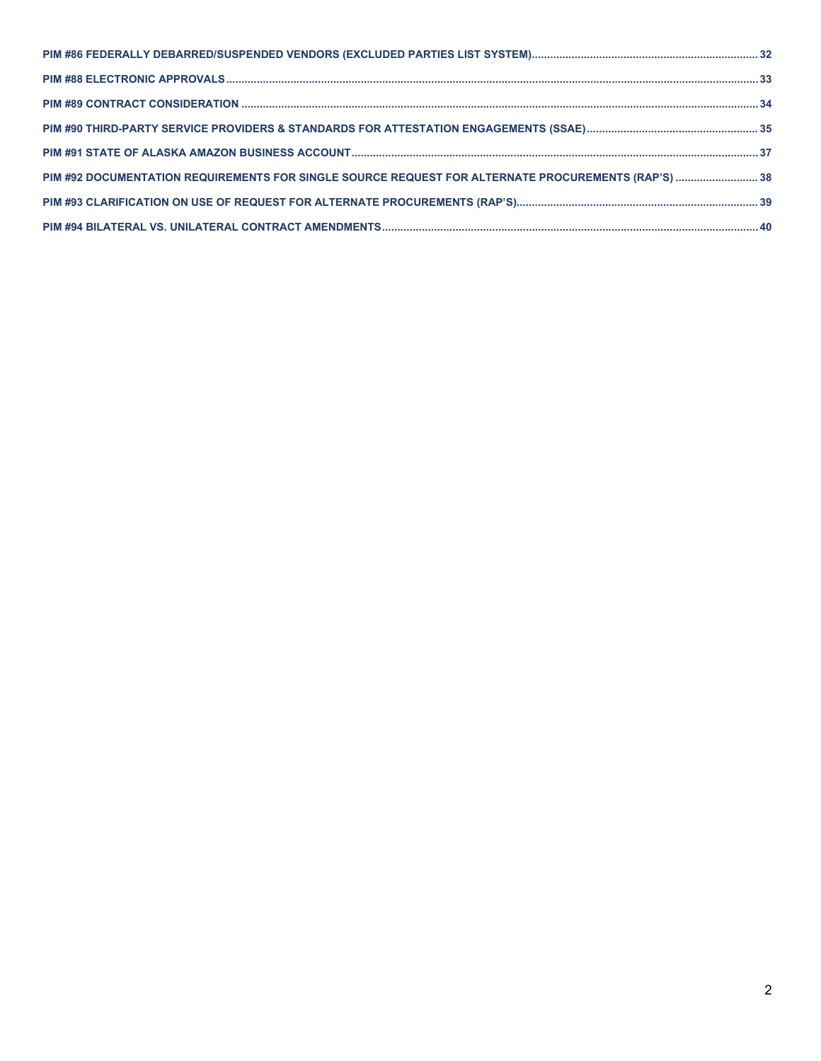| PIM #92 DOCUMENTATION REQUIREMENTS FOR SINGLE SOURCE REQUEST FOR ALTERNATE PROCUREMENTS (RAP'S)  38 |  |
|-----------------------------------------------------------------------------------------------------|--|
|                                                                                                     |  |
|                                                                                                     |  |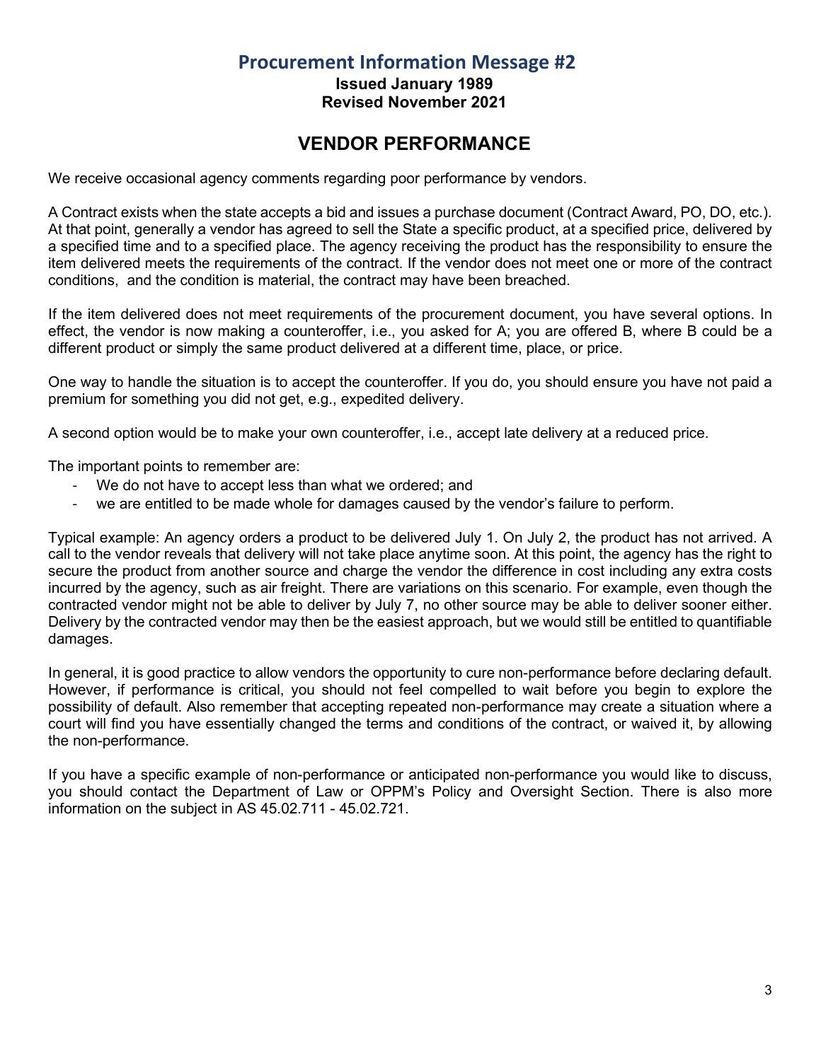**Issued January 1989 Revised November 2021**

## **VENDOR PERFORMANCE**

<span id="page-2-0"></span>We receive occasional agency comments regarding poor performance by vendors.

A Contract exists when the state accepts a bid and issues a purchase document (Contract Award, PO, DO, etc.). At that point, generally a vendor has agreed to sell the State a specific product, at a specified price, delivered by a specified time and to a specified place. The agency receiving the product has the responsibility to ensure the item delivered meets the requirements of the contract. If the vendor does not meet one or more of the contract conditions, and the condition is material, the contract may have been breached.

If the item delivered does not meet requirements of the procurement document, you have several options. In effect, the vendor is now making a counteroffer, i.e., you asked for A; you are offered B, where B could be a different product or simply the same product delivered at a different time, place, or price.

One way to handle the situation is to accept the counteroffer. If you do, you should ensure you have not paid a premium for something you did not get, e.g., expedited delivery.

A second option would be to make your own counteroffer, i.e., accept late delivery at a reduced price.

The important points to remember are:

- We do not have to accept less than what we ordered; and
- we are entitled to be made whole for damages caused by the vendor's failure to perform.

Typical example: An agency orders a product to be delivered July 1. On July 2, the product has not arrived. A call to the vendor reveals that delivery will not take place anytime soon. At this point, the agency has the right to secure the product from another source and charge the vendor the difference in cost including any extra costs incurred by the agency, such as air freight. There are variations on this scenario. For example, even though the contracted vendor might not be able to deliver by July 7, no other source may be able to deliver sooner either. Delivery by the contracted vendor may then be the easiest approach, but we would still be entitled to quantifiable damages.

In general, it is good practice to allow vendors the opportunity to cure non-performance before declaring default. However, if performance is critical, you should not feel compelled to wait before you begin to explore the possibility of default. Also remember that accepting repeated non-performance may create a situation where a court will find you have essentially changed the terms and conditions of the contract, or waived it, by allowing the non-performance.

If you have a specific example of non-performance or anticipated non-performance you would like to discuss, you should contact the Department of Law or OPPM's Policy and Oversight Section. There is also more information on the subject in AS 45.02.711 - 45.02.721.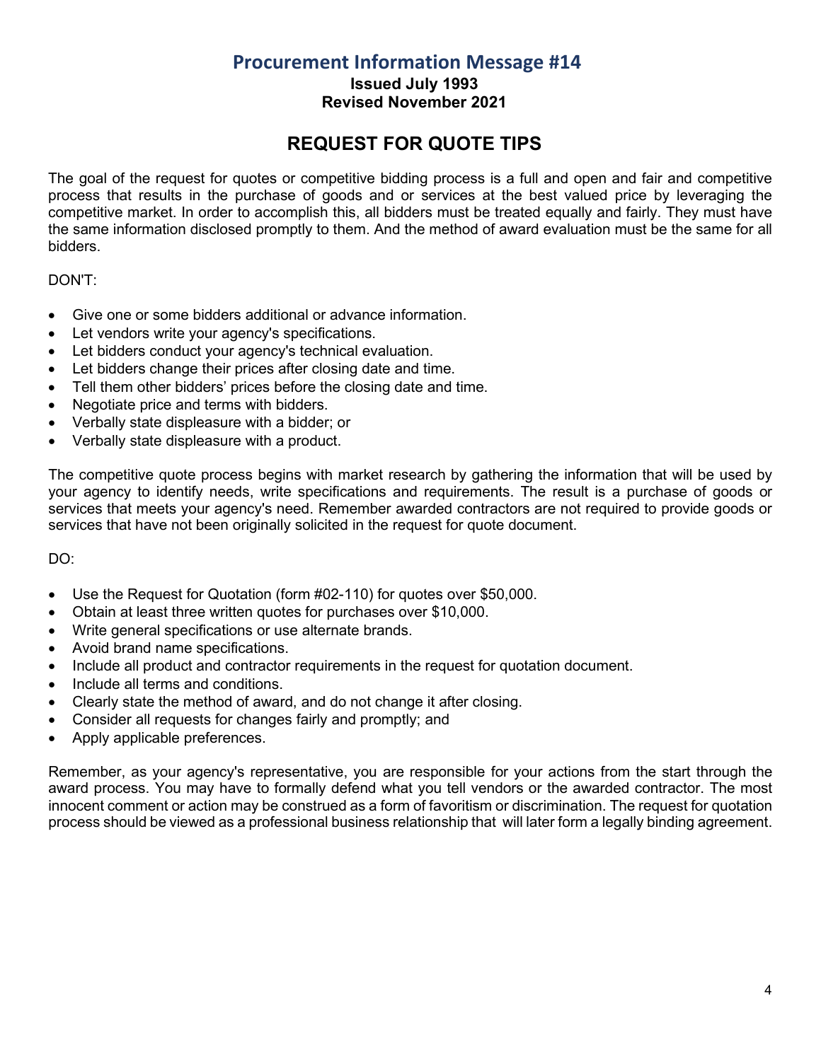**Issued July 1993**

**Revised November 2021**

# **REQUEST FOR QUOTE TIPS**

<span id="page-3-0"></span>The goal of the request for quotes or competitive bidding process is a full and open and fair and competitive process that results in the purchase of goods and or services at the best valued price by leveraging the competitive market. In order to accomplish this, all bidders must be treated equally and fairly. They must have the same information disclosed promptly to them. And the method of award evaluation must be the same for all bidders.

#### DON'T:

- Give one or some bidders additional or advance information.
- Let vendors write your agency's specifications.
- Let bidders conduct your agency's technical evaluation.
- Let bidders change their prices after closing date and time.
- Tell them other bidders' prices before the closing date and time.
- Negotiate price and terms with bidders.
- Verbally state displeasure with a bidder; or
- Verbally state displeasure with a product.

The competitive quote process begins with market research by gathering the information that will be used by your agency to identify needs, write specifications and requirements. The result is a purchase of goods or services that meets your agency's need. Remember awarded contractors are not required to provide goods or services that have not been originally solicited in the request for quote document.

DO:

- Use the Request for Quotation (form #02-110) for quotes over \$50,000.
- Obtain at least three written quotes for purchases over \$10,000.
- Write general specifications or use alternate brands.
- Avoid brand name specifications.
- Include all product and contractor requirements in the request for quotation document.
- Include all terms and conditions.
- Clearly state the method of award, and do not change it after closing.
- Consider all requests for changes fairly and promptly; and
- Apply applicable preferences.

Remember, as your agency's representative, you are responsible for your actions from the start through the award process. You may have to formally defend what you tell vendors or the awarded contractor. The most innocent comment or action may be construed as a form of favoritism or discrimination. The request for quotation process should be viewed as a professional business relationship that will later form a legally binding agreement.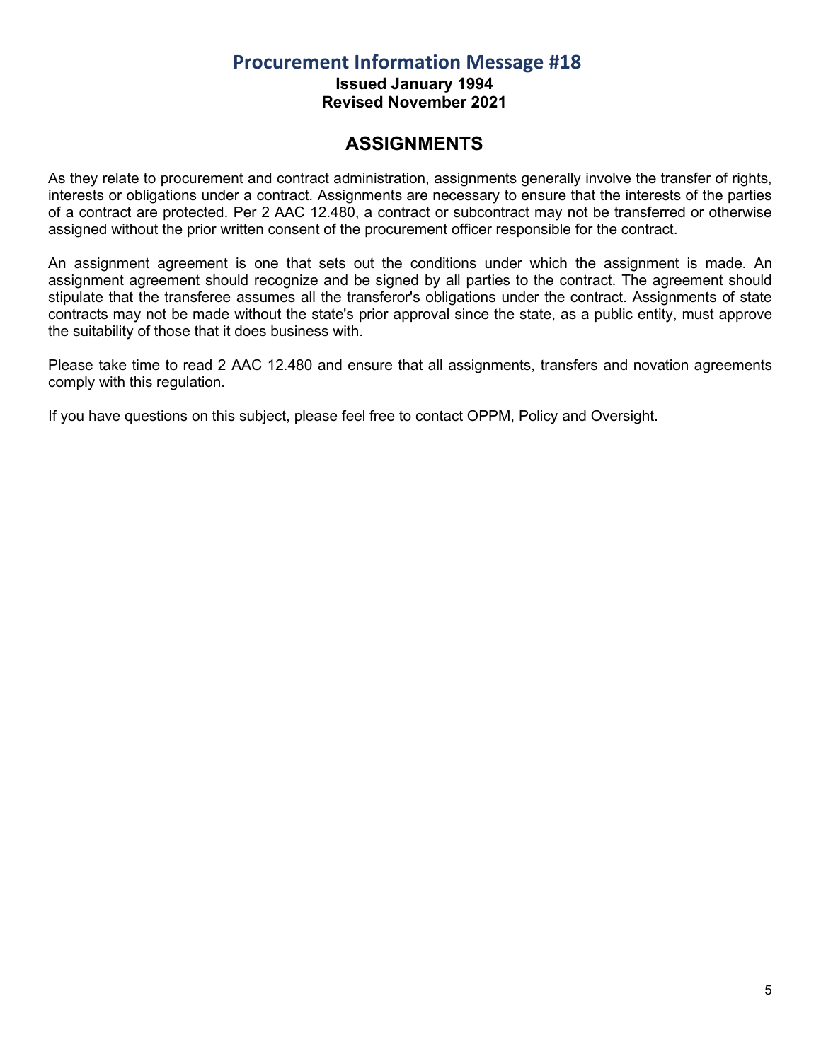**Issued January 1994**

**Revised November 2021**

## **ASSIGNMENTS**

<span id="page-4-0"></span>As they relate to procurement and contract administration, assignments generally involve the transfer of rights, interests or obligations under a contract. Assignments are necessary to ensure that the interests of the parties of a contract are protected. Per 2 AAC 12.480, a contract or subcontract may not be transferred or otherwise assigned without the prior written consent of the procurement officer responsible for the contract.

An assignment agreement is one that sets out the conditions under which the assignment is made. An assignment agreement should recognize and be signed by all parties to the contract. The agreement should stipulate that the transferee assumes all the transferor's obligations under the contract. Assignments of state contracts may not be made without the state's prior approval since the state, as a public entity, must approve the suitability of those that it does business with.

Please take time to read 2 AAC 12.480 and ensure that all assignments, transfers and novation agreements comply with this regulation.

If you have questions on this subject, please feel free to contact OPPM, Policy and Oversight.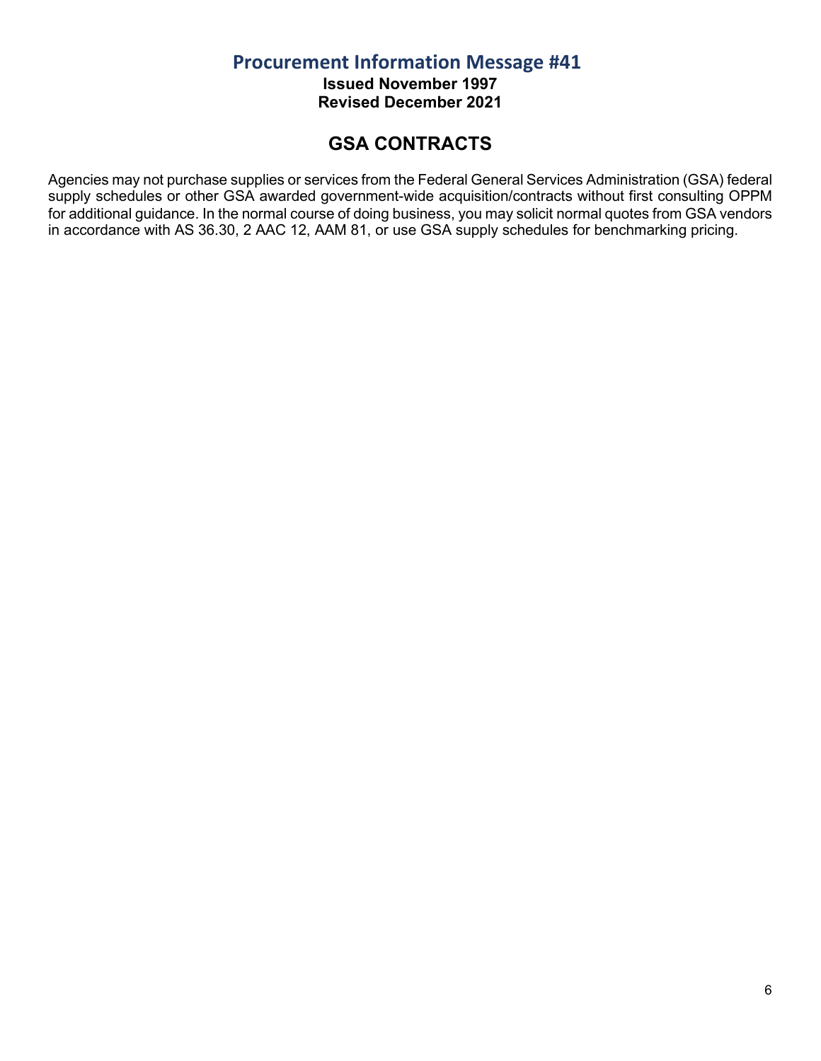**Issued November 1997 Revised December 2021**

## **GSA CONTRACTS**

<span id="page-5-0"></span>Agencies may not purchase supplies or services from the Federal General Services Administration (GSA) federal supply schedules or other GSA awarded government-wide acquisition/contracts without first consulting OPPM for additional guidance. In the normal course of doing business, you may solicit normal quotes from GSA vendors in accordance with AS 36.30, 2 AAC 12, AAM 81, or use GSA supply schedules for benchmarking pricing.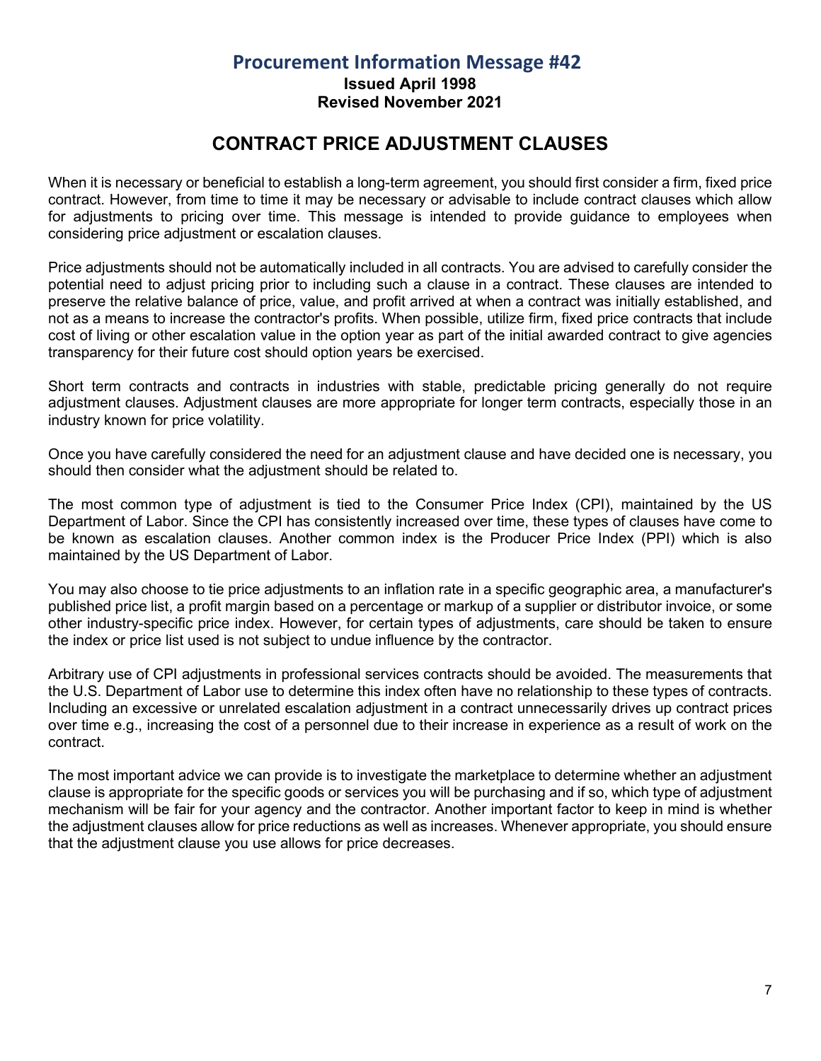**Issued April 1998**

**Revised November 2021**

## **CONTRACT PRICE ADJUSTMENT CLAUSES**

<span id="page-6-0"></span>When it is necessary or beneficial to establish a long-term agreement, you should first consider a firm, fixed price contract. However, from time to time it may be necessary or advisable to include contract clauses which allow for adjustments to pricing over time. This message is intended to provide guidance to employees when considering price adjustment or escalation clauses.

Price adjustments should not be automatically included in all contracts. You are advised to carefully consider the potential need to adjust pricing prior to including such a clause in a contract. These clauses are intended to preserve the relative balance of price, value, and profit arrived at when a contract was initially established, and not as a means to increase the contractor's profits. When possible, utilize firm, fixed price contracts that include cost of living or other escalation value in the option year as part of the initial awarded contract to give agencies transparency for their future cost should option years be exercised.

Short term contracts and contracts in industries with stable, predictable pricing generally do not require adjustment clauses. Adjustment clauses are more appropriate for longer term contracts, especially those in an industry known for price volatility.

Once you have carefully considered the need for an adjustment clause and have decided one is necessary, you should then consider what the adjustment should be related to.

The most common type of adjustment is tied to the Consumer Price Index (CPI), maintained by the US Department of Labor. Since the CPI has consistently increased over time, these types of clauses have come to be known as escalation clauses. Another common index is the Producer Price Index (PPI) which is also maintained by the US Department of Labor.

You may also choose to tie price adjustments to an inflation rate in a specific geographic area, a manufacturer's published price list, a profit margin based on a percentage or markup of a supplier or distributor invoice, or some other industry-specific price index. However, for certain types of adjustments, care should be taken to ensure the index or price list used is not subject to undue influence by the contractor.

Arbitrary use of CPI adjustments in professional services contracts should be avoided. The measurements that the U.S. Department of Labor use to determine this index often have no relationship to these types of contracts. Including an excessive or unrelated escalation adjustment in a contract unnecessarily drives up contract prices over time e.g., increasing the cost of a personnel due to their increase in experience as a result of work on the contract.

The most important advice we can provide is to investigate the marketplace to determine whether an adjustment clause is appropriate for the specific goods or services you will be purchasing and if so, which type of adjustment mechanism will be fair for your agency and the contractor. Another important factor to keep in mind is whether the adjustment clauses allow for price reductions as well as increases. Whenever appropriate, you should ensure that the adjustment clause you use allows for price decreases.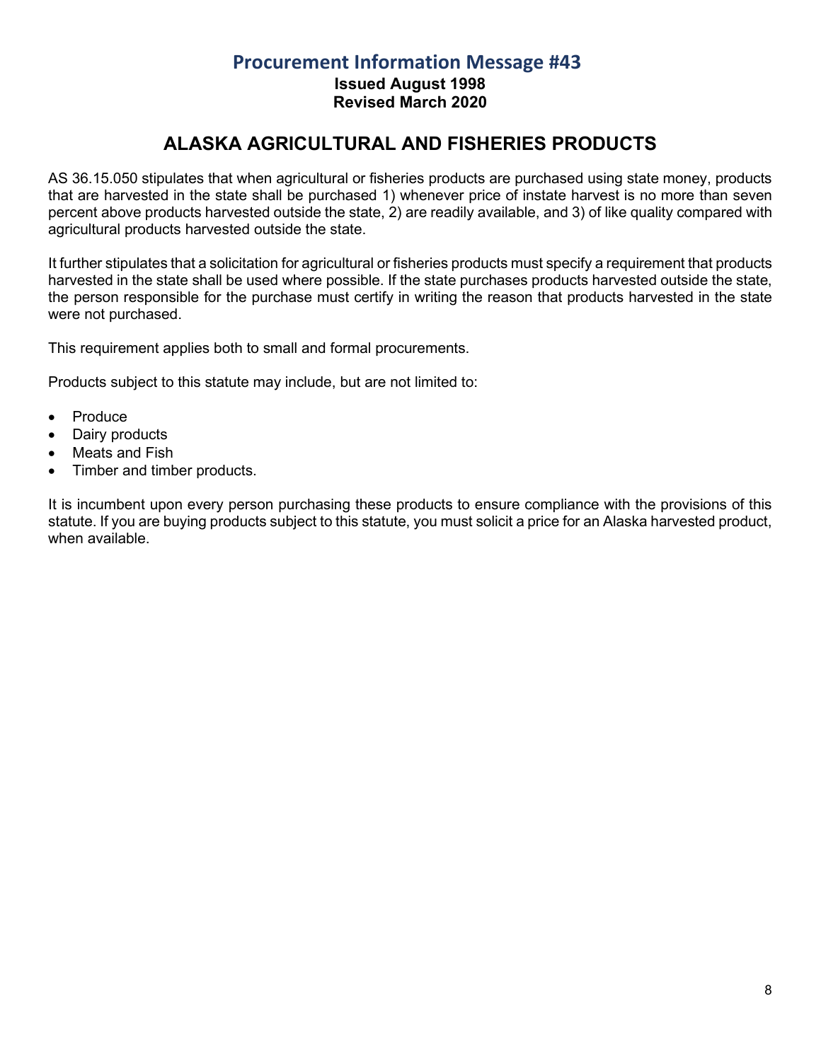**Issued August 1998 Revised March 2020**

# **ALASKA AGRICULTURAL AND FISHERIES PRODUCTS**

<span id="page-7-0"></span>AS 36.15.050 stipulates that when agricultural or fisheries products are purchased using state money, products that are harvested in the state shall be purchased 1) whenever price of instate harvest is no more than seven percent above products harvested outside the state, 2) are readily available, and 3) of like quality compared with agricultural products harvested outside the state.

It further stipulates that a solicitation for agricultural or fisheries products must specify a requirement that products harvested in the state shall be used where possible. If the state purchases products harvested outside the state, the person responsible for the purchase must certify in writing the reason that products harvested in the state were not purchased.

This requirement applies both to small and formal procurements.

Products subject to this statute may include, but are not limited to:

- Produce
- Dairy products
- Meats and Fish
- Timber and timber products.

It is incumbent upon every person purchasing these products to ensure compliance with the provisions of this statute. If you are buying products subject to this statute, you must solicit a price for an Alaska harvested product, when available.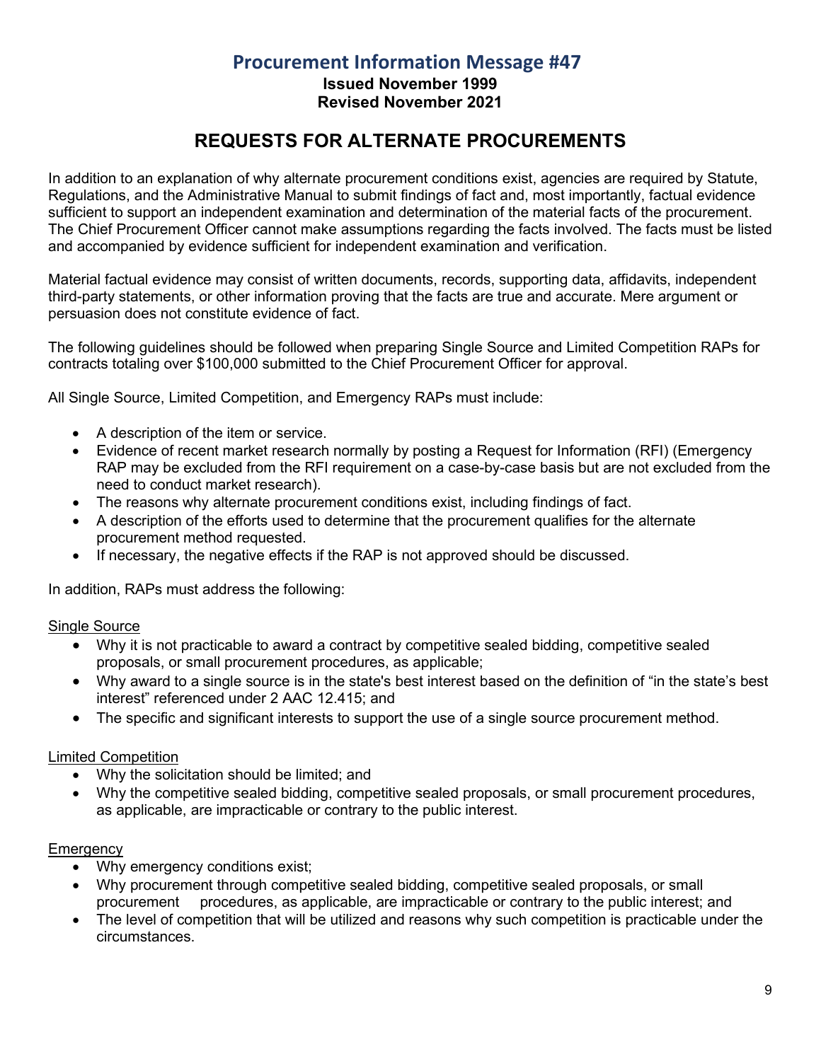**Issued November 1999 Revised November 2021**

## **REQUESTS FOR ALTERNATE PROCUREMENTS**

<span id="page-8-0"></span>In addition to an explanation of why alternate procurement conditions exist, agencies are required by Statute, Regulations, and the Administrative Manual to submit findings of fact and, most importantly, factual evidence sufficient to support an independent examination and determination of the material facts of the procurement. The Chief Procurement Officer cannot make assumptions regarding the facts involved. The facts must be listed and accompanied by evidence sufficient for independent examination and verification.

Material factual evidence may consist of written documents, records, supporting data, affidavits, independent third-party statements, or other information proving that the facts are true and accurate. Mere argument or persuasion does not constitute evidence of fact.

The following guidelines should be followed when preparing Single Source and Limited Competition RAPs for contracts totaling over \$100,000 submitted to the Chief Procurement Officer for approval.

All Single Source, Limited Competition, and Emergency RAPs must include:

- A description of the item or service.
- Evidence of recent market research normally by posting a Request for Information (RFI) (Emergency RAP may be excluded from the RFI requirement on a case-by-case basis but are not excluded from the need to conduct market research).
- The reasons why alternate procurement conditions exist, including findings of fact.
- A description of the efforts used to determine that the procurement qualifies for the alternate procurement method requested.
- If necessary, the negative effects if the RAP is not approved should be discussed.

In addition, RAPs must address the following:

#### Single Source

- Why it is not practicable to award a contract by competitive sealed bidding, competitive sealed proposals, or small procurement procedures, as applicable;
- Why award to a single source is in the state's best interest based on the definition of "in the state's best interest" referenced under 2 AAC 12.415; and
- The specific and significant interests to support the use of a single source procurement method.

#### Limited Competition

- Why the solicitation should be limited; and
- Why the competitive sealed bidding, competitive sealed proposals, or small procurement procedures, as applicable, are impracticable or contrary to the public interest.

#### **Emergency**

- Why emergency conditions exist;
- Why procurement through competitive sealed bidding, competitive sealed proposals, or small procurement procedures, as applicable, are impracticable or contrary to the public interest; and
- The level of competition that will be utilized and reasons why such competition is practicable under the circumstances.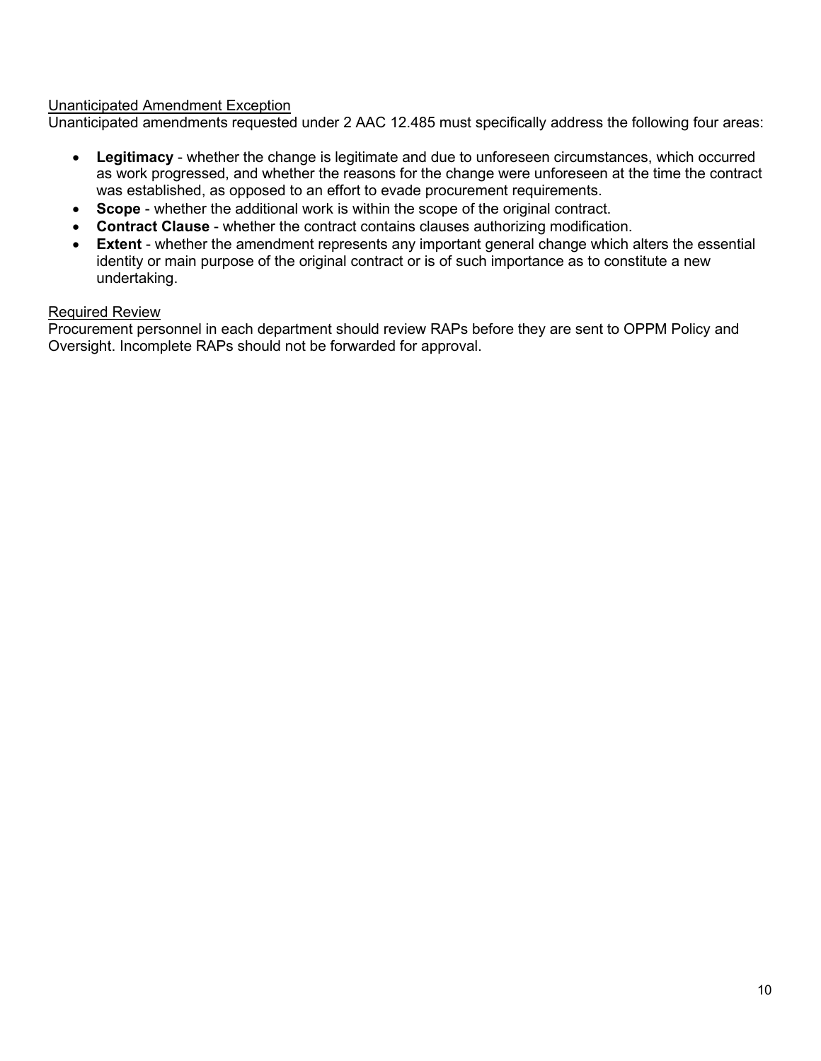#### Unanticipated Amendment Exception

Unanticipated amendments requested under 2 AAC 12.485 must specifically address the following four areas:

- **Legitimacy** whether the change is legitimate and due to unforeseen circumstances, which occurred as work progressed, and whether the reasons for the change were unforeseen at the time the contract was established, as opposed to an effort to evade procurement requirements.
- **Scope** whether the additional work is within the scope of the original contract.
- **Contract Clause** whether the contract contains clauses authorizing modification.
- **Extent** whether the amendment represents any important general change which alters the essential identity or main purpose of the original contract or is of such importance as to constitute a new undertaking.

#### Required Review

Procurement personnel in each department should review RAPs before they are sent to OPPM Policy and Oversight. Incomplete RAPs should not be forwarded for approval.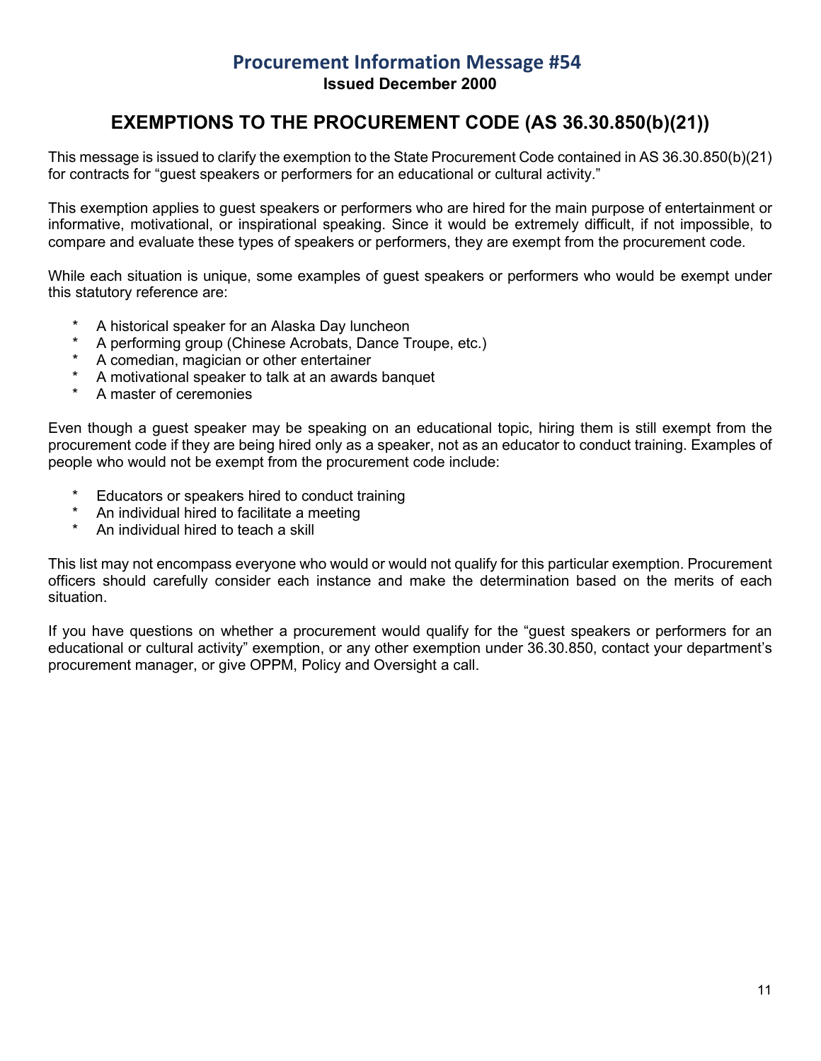## **Procurement Information Message #54 Issued December 2000**

## **EXEMPTIONS TO THE PROCUREMENT CODE (AS 36.30.850(b)(21))**

<span id="page-10-0"></span>This message is issued to clarify the exemption to the State Procurement Code contained in AS 36.30.850(b)(21) for contracts for "guest speakers or performers for an educational or cultural activity."

This exemption applies to guest speakers or performers who are hired for the main purpose of entertainment or informative, motivational, or inspirational speaking. Since it would be extremely difficult, if not impossible, to compare and evaluate these types of speakers or performers, they are exempt from the procurement code.

While each situation is unique, some examples of guest speakers or performers who would be exempt under this statutory reference are:

- \* A historical speaker for an Alaska Day luncheon
- A performing group (Chinese Acrobats, Dance Troupe, etc.)
- A comedian, magician or other entertainer
- A motivational speaker to talk at an awards banquet
- A master of ceremonies

Even though a guest speaker may be speaking on an educational topic, hiring them is still exempt from the procurement code if they are being hired only as a speaker, not as an educator to conduct training. Examples of people who would not be exempt from the procurement code include:

- Educators or speakers hired to conduct training
- An individual hired to facilitate a meeting
- An individual hired to teach a skill

This list may not encompass everyone who would or would not qualify for this particular exemption. Procurement officers should carefully consider each instance and make the determination based on the merits of each situation.

If you have questions on whether a procurement would qualify for the "guest speakers or performers for an educational or cultural activity" exemption, or any other exemption under 36.30.850, contact your department's procurement manager, or give OPPM, Policy and Oversight a call.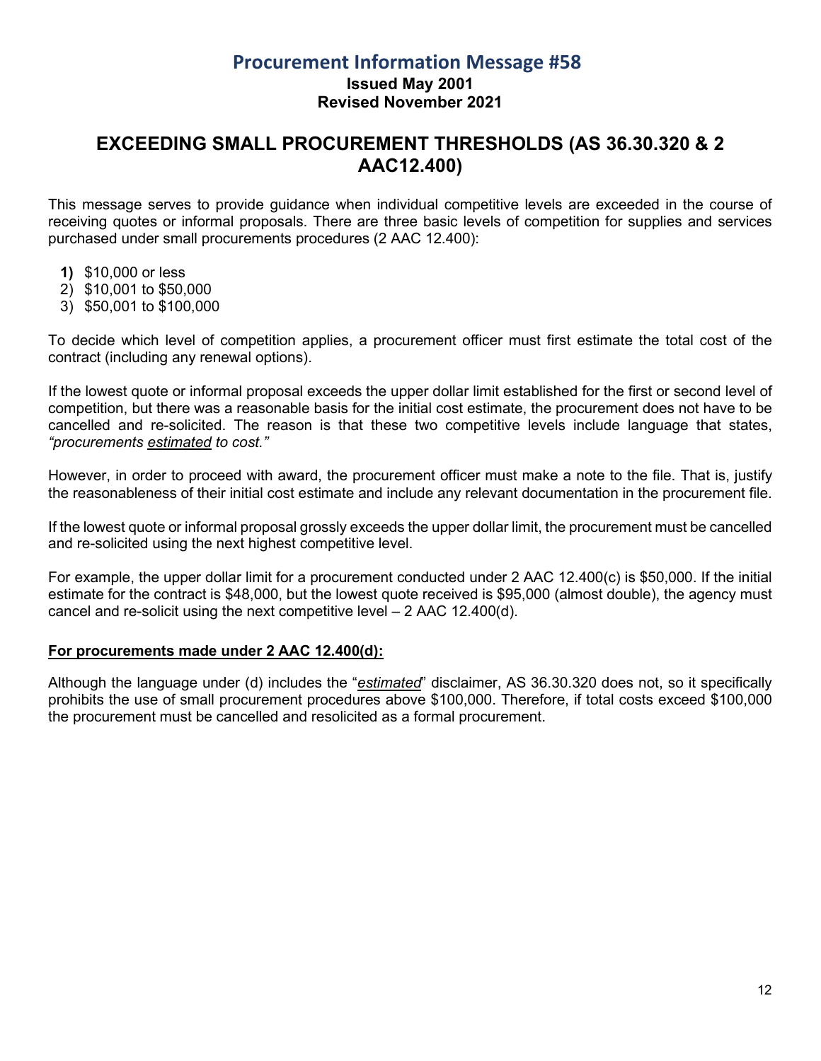#### **Issued May 2001 Revised November 2021**

## <span id="page-11-0"></span>**EXCEEDING SMALL PROCUREMENT THRESHOLDS (AS 36.30.320 & 2 AAC12.400)**

This message serves to provide guidance when individual competitive levels are exceeded in the course of receiving quotes or informal proposals. There are three basic levels of competition for supplies and services purchased under small procurements procedures (2 AAC 12.400):

- **1)** \$10,000 or less
- 2) \$10,001 to \$50,000
- 3) \$50,001 to \$100,000

To decide which level of competition applies, a procurement officer must first estimate the total cost of the contract (including any renewal options).

If the lowest quote or informal proposal exceeds the upper dollar limit established for the first or second level of competition, but there was a reasonable basis for the initial cost estimate, the procurement does not have to be cancelled and re-solicited. The reason is that these two competitive levels include language that states, *"procurements estimated to cost."* 

However, in order to proceed with award, the procurement officer must make a note to the file. That is, justify the reasonableness of their initial cost estimate and include any relevant documentation in the procurement file.

If the lowest quote or informal proposal grossly exceeds the upper dollar limit, the procurement must be cancelled and re-solicited using the next highest competitive level.

For example, the upper dollar limit for a procurement conducted under 2 AAC 12.400(c) is \$50,000. If the initial estimate for the contract is \$48,000, but the lowest quote received is \$95,000 (almost double), the agency must cancel and re-solicit using the next competitive level – 2 AAC 12.400(d).

#### **For procurements made under 2 AAC 12.400(d):**

Although the language under (d) includes the "*estimated*" disclaimer, AS 36.30.320 does not, so it specifically prohibits the use of small procurement procedures above \$100,000. Therefore, if total costs exceed \$100,000 the procurement must be cancelled and resolicited as a formal procurement.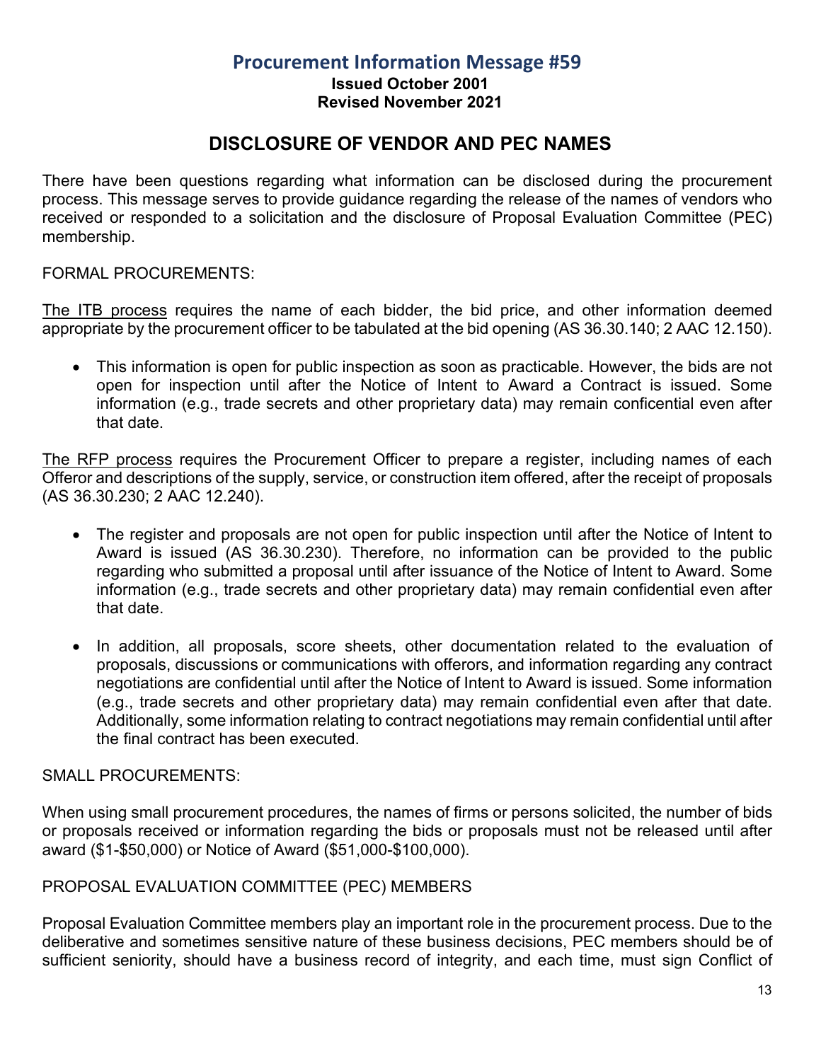**Issued October 2001**

#### **Revised November 2021**

## **DISCLOSURE OF VENDOR AND PEC NAMES**

<span id="page-12-0"></span>There have been questions regarding what information can be disclosed during the procurement process. This message serves to provide guidance regarding the release of the names of vendors who received or responded to a solicitation and the disclosure of Proposal Evaluation Committee (PEC) membership.

#### FORMAL PROCUREMENTS:

The ITB process requires the name of each bidder, the bid price, and other information deemed appropriate by the procurement officer to be tabulated at the bid opening (AS 36.30.140; 2 AAC 12.150).

• This information is open for public inspection as soon as practicable. However, the bids are not open for inspection until after the Notice of Intent to Award a Contract is issued. Some information (e.g., trade secrets and other proprietary data) may remain conficential even after that date.

The RFP process requires the Procurement Officer to prepare a register, including names of each Offeror and descriptions of the supply, service, or construction item offered, after the receipt of proposals (AS 36.30.230; 2 AAC 12.240).

- The register and proposals are not open for public inspection until after the Notice of Intent to Award is issued (AS 36.30.230). Therefore, no information can be provided to the public regarding who submitted a proposal until after issuance of the Notice of Intent to Award. Some information (e.g., trade secrets and other proprietary data) may remain confidential even after that date.
- In addition, all proposals, score sheets, other documentation related to the evaluation of proposals, discussions or communications with offerors, and information regarding any contract negotiations are confidential until after the Notice of Intent to Award is issued. Some information (e.g., trade secrets and other proprietary data) may remain confidential even after that date. Additionally, some information relating to contract negotiations may remain confidential until after the final contract has been executed.

#### SMALL PROCUREMENTS:

When using small procurement procedures, the names of firms or persons solicited, the number of bids or proposals received or information regarding the bids or proposals must not be released until after award (\$1-\$50,000) or Notice of Award (\$51,000-\$100,000).

#### PROPOSAL EVALUATION COMMITTEE (PEC) MEMBERS

Proposal Evaluation Committee members play an important role in the procurement process. Due to the deliberative and sometimes sensitive nature of these business decisions, PEC members should be of sufficient seniority, should have a business record of integrity, and each time, must sign Conflict of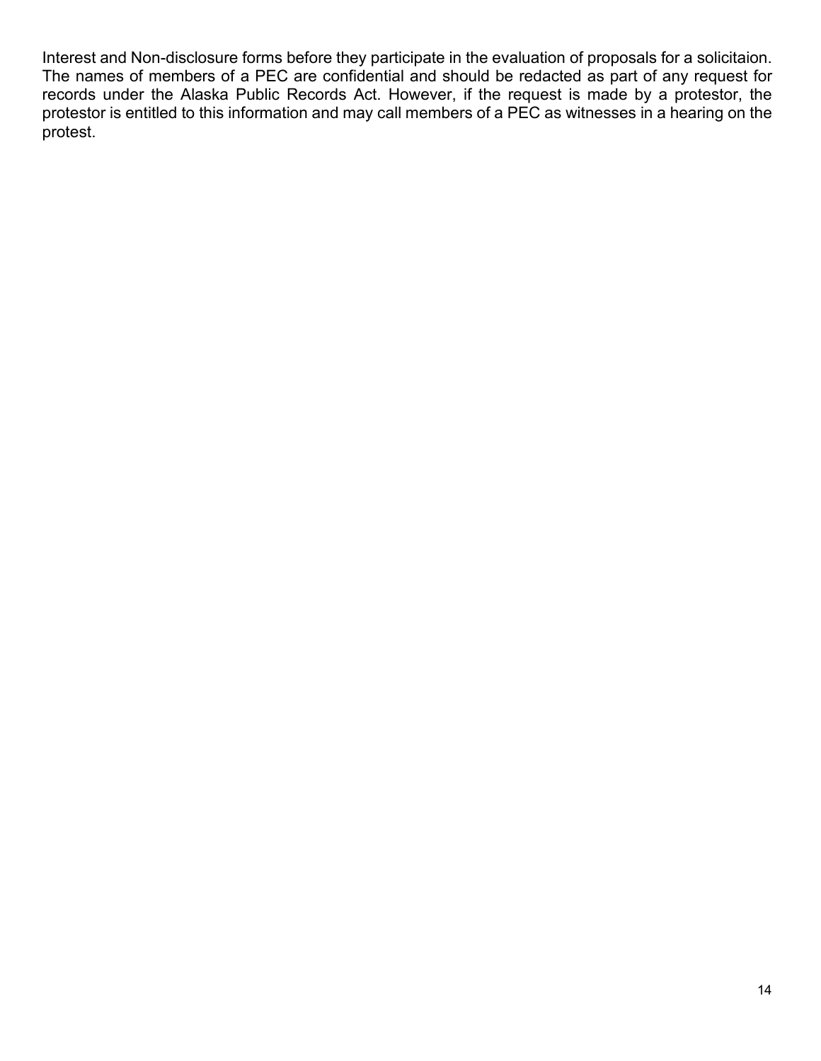Interest and Non-disclosure forms before they participate in the evaluation of proposals for a solicitaion. The names of members of a PEC are confidential and should be redacted as part of any request for records under the Alaska Public Records Act. However, if the request is made by a protestor, the protestor is entitled to this information and may call members of a PEC as witnesses in a hearing on the protest.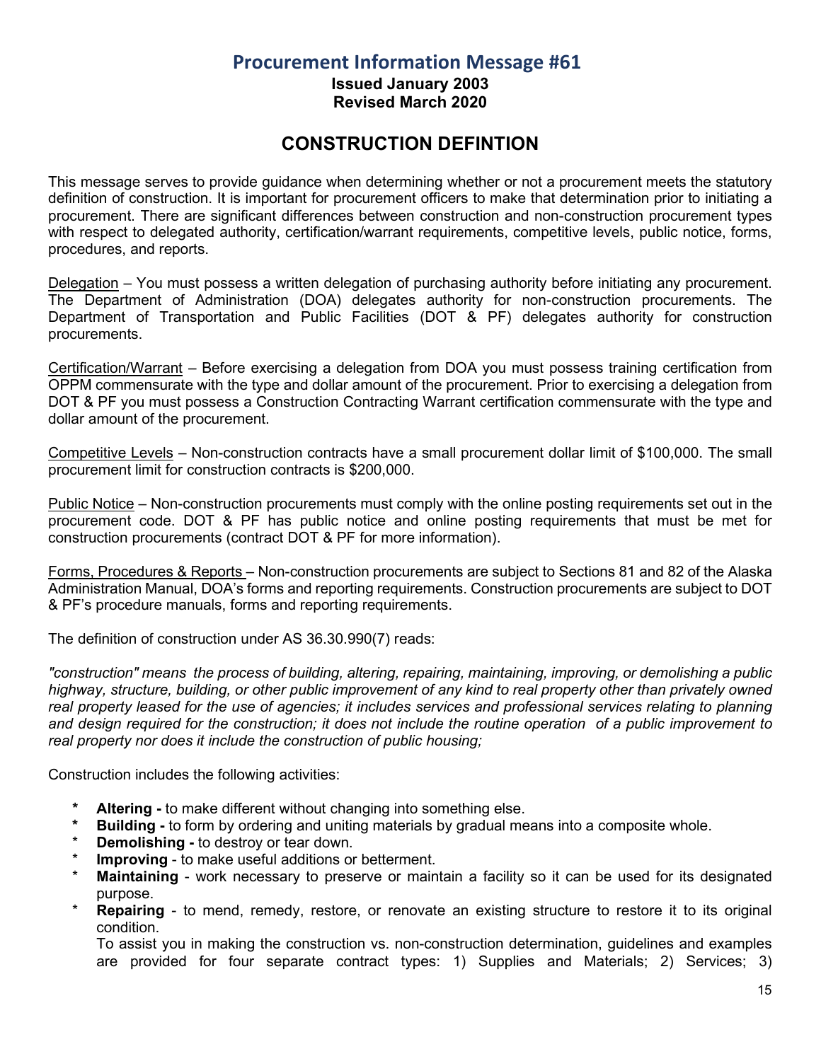**Issued January 2003 Revised March 2020**

## **CONSTRUCTION DEFINTION**

<span id="page-14-0"></span>This message serves to provide guidance when determining whether or not a procurement meets the statutory definition of construction. It is important for procurement officers to make that determination prior to initiating a procurement. There are significant differences between construction and non-construction procurement types with respect to delegated authority, certification/warrant requirements, competitive levels, public notice, forms, procedures, and reports.

Delegation – You must possess a written delegation of purchasing authority before initiating any procurement. The Department of Administration (DOA) delegates authority for non-construction procurements. The Department of Transportation and Public Facilities (DOT & PF) delegates authority for construction procurements.

Certification/Warrant – Before exercising a delegation from DOA you must possess training certification from OPPM commensurate with the type and dollar amount of the procurement. Prior to exercising a delegation from DOT & PF you must possess a Construction Contracting Warrant certification commensurate with the type and dollar amount of the procurement.

Competitive Levels – Non-construction contracts have a small procurement dollar limit of \$100,000. The small procurement limit for construction contracts is \$200,000.

Public Notice – Non-construction procurements must comply with the online posting requirements set out in the procurement code. DOT & PF has public notice and online posting requirements that must be met for construction procurements (contract DOT & PF for more information).

Forms, Procedures & Reports – Non-construction procurements are subject to Sections 81 and 82 of the Alaska Administration Manual, DOA's forms and reporting requirements. Construction procurements are subject to DOT & PF's procedure manuals, forms and reporting requirements.

The definition of construction under AS 36.30.990(7) reads:

*"construction" means the process of building, altering, repairing, maintaining, improving, or demolishing a public highway, structure, building, or other public improvement of any kind to real property other than privately owned real property leased for the use of agencies; it includes services and professional services relating to planning and design required for the construction; it does not include the routine operation of a public improvement to real property nor does it include the construction of public housing;*

Construction includes the following activities:

- **\* Altering -** to make different without changing into something else.
- **\* Building -** to form by ordering and uniting materials by gradual means into a composite whole.
- **Demolishing -** to destroy or tear down.
- **Improving to make useful additions or betterment.**
- **Maintaining** work necessary to preserve or maintain a facility so it can be used for its designated purpose.
- **Repairing** to mend, remedy, restore, or renovate an existing structure to restore it to its original condition.

To assist you in making the construction vs. non-construction determination, guidelines and examples are provided for four separate contract types: 1) Supplies and Materials; 2) Services; 3)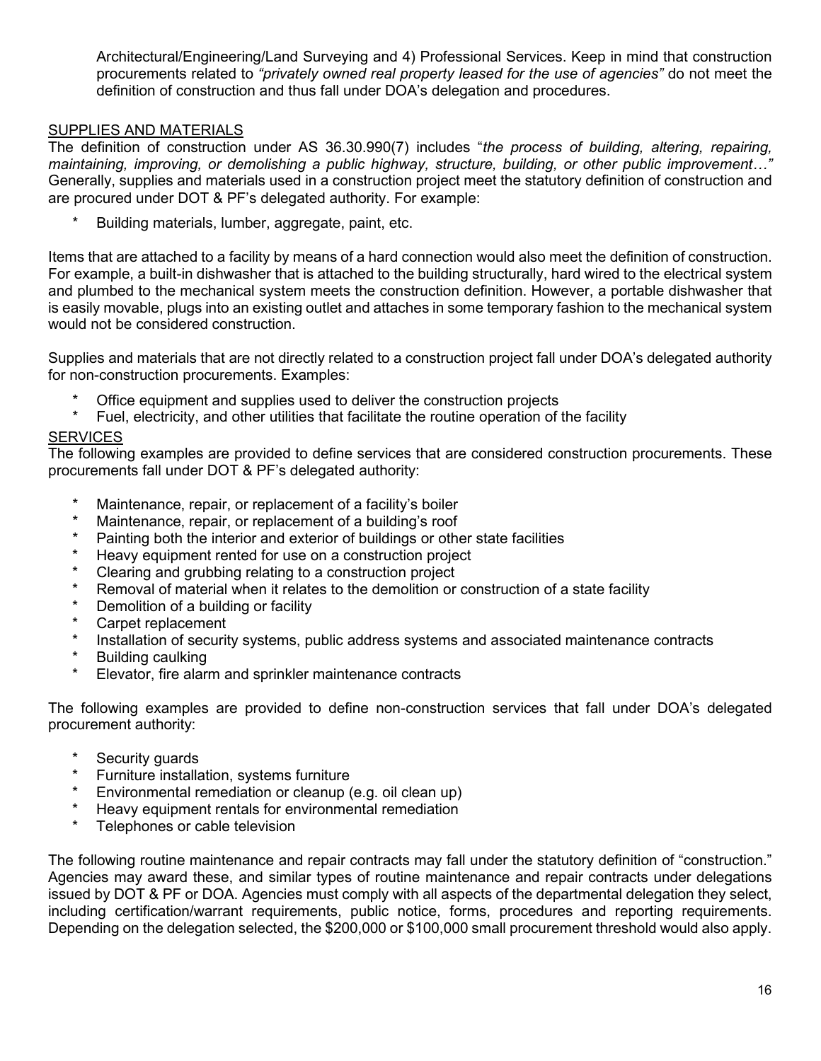Architectural/Engineering/Land Surveying and 4) Professional Services. Keep in mind that construction procurements related to *"privately owned real property leased for the use of agencies"* do not meet the definition of construction and thus fall under DOA's delegation and procedures.

#### SUPPLIES AND MATERIALS

The definition of construction under AS 36.30.990(7) includes "*the process of building, altering, repairing, maintaining, improving, or demolishing a public highway, structure, building, or other public improvement…"* Generally, supplies and materials used in a construction project meet the statutory definition of construction and are procured under DOT & PF's delegated authority. For example:

Building materials, lumber, aggregate, paint, etc.

Items that are attached to a facility by means of a hard connection would also meet the definition of construction. For example, a built-in dishwasher that is attached to the building structurally, hard wired to the electrical system and plumbed to the mechanical system meets the construction definition. However, a portable dishwasher that is easily movable, plugs into an existing outlet and attaches in some temporary fashion to the mechanical system would not be considered construction.

Supplies and materials that are not directly related to a construction project fall under DOA's delegated authority for non-construction procurements. Examples:

- Office equipment and supplies used to deliver the construction projects
- Fuel, electricity, and other utilities that facilitate the routine operation of the facility

#### **SERVICES**

The following examples are provided to define services that are considered construction procurements. These procurements fall under DOT & PF's delegated authority:

- \* Maintenance, repair, or replacement of a facility's boiler
- Maintenance, repair, or replacement of a building's roof
- Painting both the interior and exterior of buildings or other state facilities
- Heavy equipment rented for use on a construction project
- Clearing and grubbing relating to a construction project
- Removal of material when it relates to the demolition or construction of a state facility
- Demolition of a building or facility
- Carpet replacement
- Installation of security systems, public address systems and associated maintenance contracts
- **Building caulking**
- Elevator, fire alarm and sprinkler maintenance contracts

The following examples are provided to define non-construction services that fall under DOA's delegated procurement authority:

- \* Security guards
- Furniture installation, systems furniture
- Environmental remediation or cleanup (e.g. oil clean up)
- Heavy equipment rentals for environmental remediation
- Telephones or cable television

The following routine maintenance and repair contracts may fall under the statutory definition of "construction." Agencies may award these, and similar types of routine maintenance and repair contracts under delegations issued by DOT & PF or DOA. Agencies must comply with all aspects of the departmental delegation they select, including certification/warrant requirements, public notice, forms, procedures and reporting requirements. Depending on the delegation selected, the \$200,000 or \$100,000 small procurement threshold would also apply.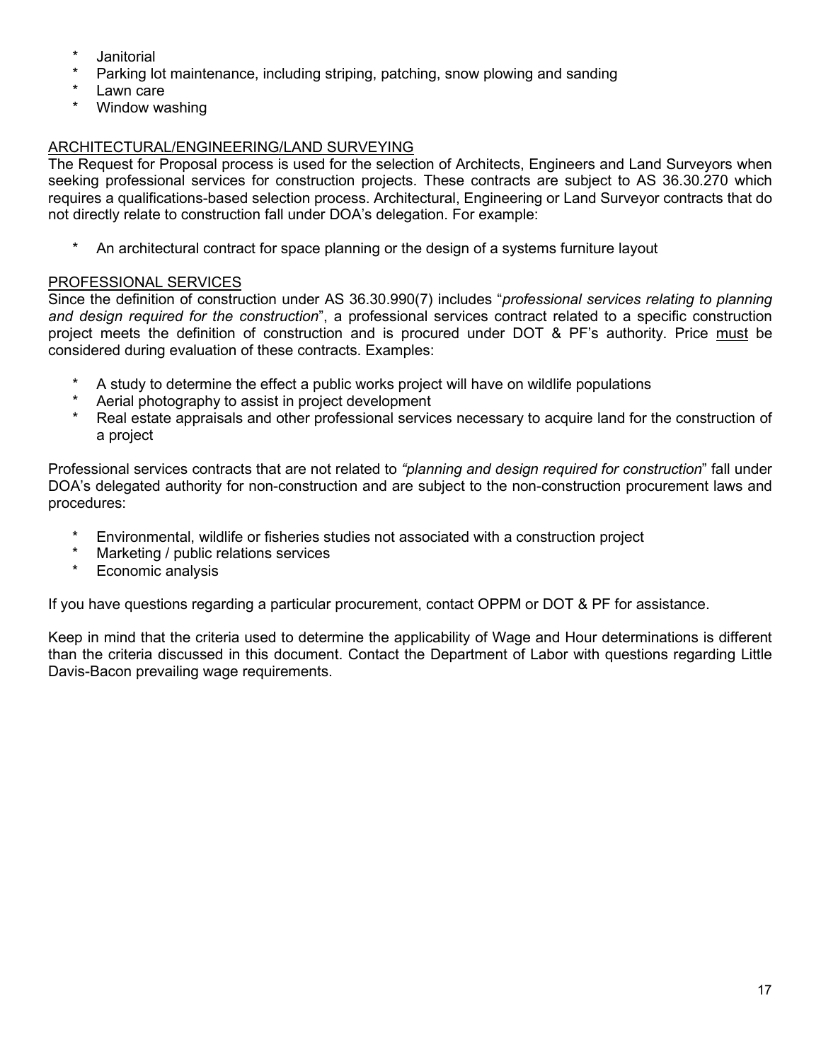- **Janitorial**
- Parking lot maintenance, including striping, patching, snow plowing and sanding
- Lawn care
- Window washing

#### ARCHITECTURAL/ENGINEERING/LAND SURVEYING

The Request for Proposal process is used for the selection of Architects, Engineers and Land Surveyors when seeking professional services for construction projects. These contracts are subject to AS 36.30.270 which requires a qualifications-based selection process. Architectural, Engineering or Land Surveyor contracts that do not directly relate to construction fall under DOA's delegation. For example:

An architectural contract for space planning or the design of a systems furniture layout

#### PROFESSIONAL SERVICES

Since the definition of construction under AS 36.30.990(7) includes "*professional services relating to planning and design required for the construction*", a professional services contract related to a specific construction project meets the definition of construction and is procured under DOT & PF's authority. Price must be considered during evaluation of these contracts. Examples:

- A study to determine the effect a public works project will have on wildlife populations
- Aerial photography to assist in project development
- Real estate appraisals and other professional services necessary to acquire land for the construction of a project

Professional services contracts that are not related to *"planning and design required for construction*" fall under DOA's delegated authority for non-construction and are subject to the non-construction procurement laws and procedures:

- \* Environmental, wildlife or fisheries studies not associated with a construction project
- \* Marketing / public relations services
- **Economic analysis**

If you have questions regarding a particular procurement, contact OPPM or DOT & PF for assistance.

Keep in mind that the criteria used to determine the applicability of Wage and Hour determinations is different than the criteria discussed in this document. Contact the Department of Labor with questions regarding Little Davis-Bacon prevailing wage requirements.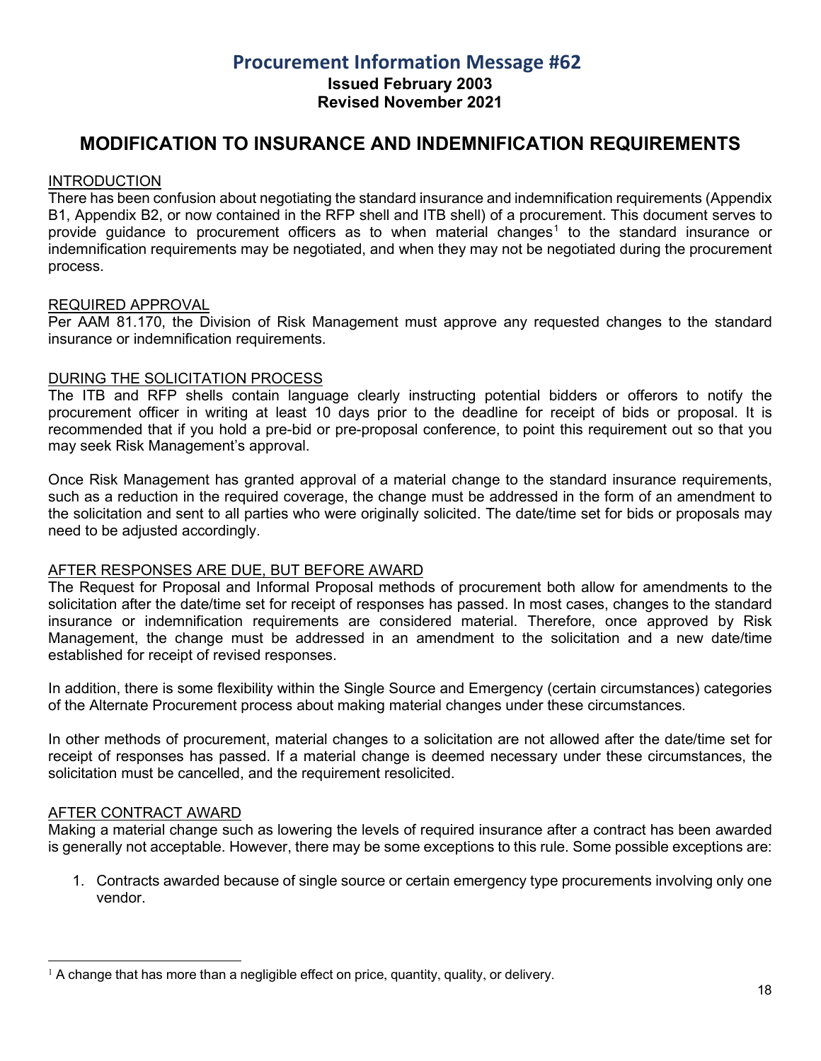**Issued February 2003**

**Revised November 2021**

#### <span id="page-17-0"></span>**MODIFICATION TO INSURANCE AND INDEMNIFICATION REQUIREMENTS**

#### **INTRODUCTION**

There has been confusion about negotiating the standard insurance and indemnification requirements (Appendix B1, Appendix B2, or now contained in the RFP shell and ITB shell) of a procurement. This document serves to provide guidance to procurement officers as to when material changes<sup>[1](#page-17-1)</sup> to the standard insurance or indemnification requirements may be negotiated, and when they may not be negotiated during the procurement process.

#### REQUIRED APPROVAL

Per AAM 81.170, the Division of Risk Management must approve any requested changes to the standard insurance or indemnification requirements.

#### DURING THE SOLICITATION PROCESS

The ITB and RFP shells contain language clearly instructing potential bidders or offerors to notify the procurement officer in writing at least 10 days prior to the deadline for receipt of bids or proposal. It is recommended that if you hold a pre-bid or pre-proposal conference, to point this requirement out so that you may seek Risk Management's approval.

Once Risk Management has granted approval of a material change to the standard insurance requirements, such as a reduction in the required coverage, the change must be addressed in the form of an amendment to the solicitation and sent to all parties who were originally solicited. The date/time set for bids or proposals may need to be adjusted accordingly.

#### AFTER RESPONSES ARE DUE, BUT BEFORE AWARD

The Request for Proposal and Informal Proposal methods of procurement both allow for amendments to the solicitation after the date/time set for receipt of responses has passed. In most cases, changes to the standard insurance or indemnification requirements are considered material. Therefore, once approved by Risk Management, the change must be addressed in an amendment to the solicitation and a new date/time established for receipt of revised responses.

In addition, there is some flexibility within the Single Source and Emergency (certain circumstances) categories of the Alternate Procurement process about making material changes under these circumstances.

In other methods of procurement, material changes to a solicitation are not allowed after the date/time set for receipt of responses has passed. If a material change is deemed necessary under these circumstances, the solicitation must be cancelled, and the requirement resolicited.

#### AFTER CONTRACT AWARD

Making a material change such as lowering the levels of required insurance after a contract has been awarded is generally not acceptable. However, there may be some exceptions to this rule. Some possible exceptions are:

1. Contracts awarded because of single source or certain emergency type procurements involving only one vendor.

<span id="page-17-1"></span> $1$  A change that has more than a negligible effect on price, quantity, quality, or delivery.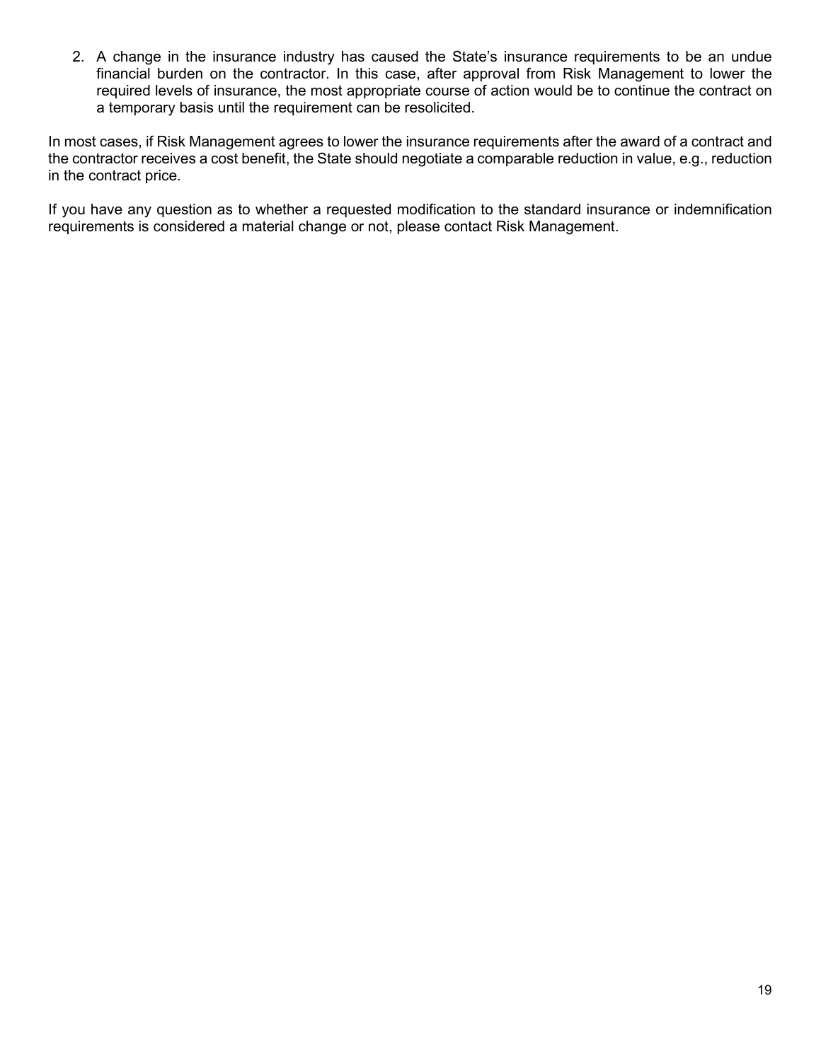2. A change in the insurance industry has caused the State's insurance requirements to be an undue financial burden on the contractor. In this case, after approval from Risk Management to lower the required levels of insurance, the most appropriate course of action would be to continue the contract on a temporary basis until the requirement can be resolicited.

In most cases, if Risk Management agrees to lower the insurance requirements after the award of a contract and the contractor receives a cost benefit, the State should negotiate a comparable reduction in value, e.g., reduction in the contract price.

If you have any question as to whether a requested modification to the standard insurance or indemnification requirements is considered a material change or not, please contact Risk Management.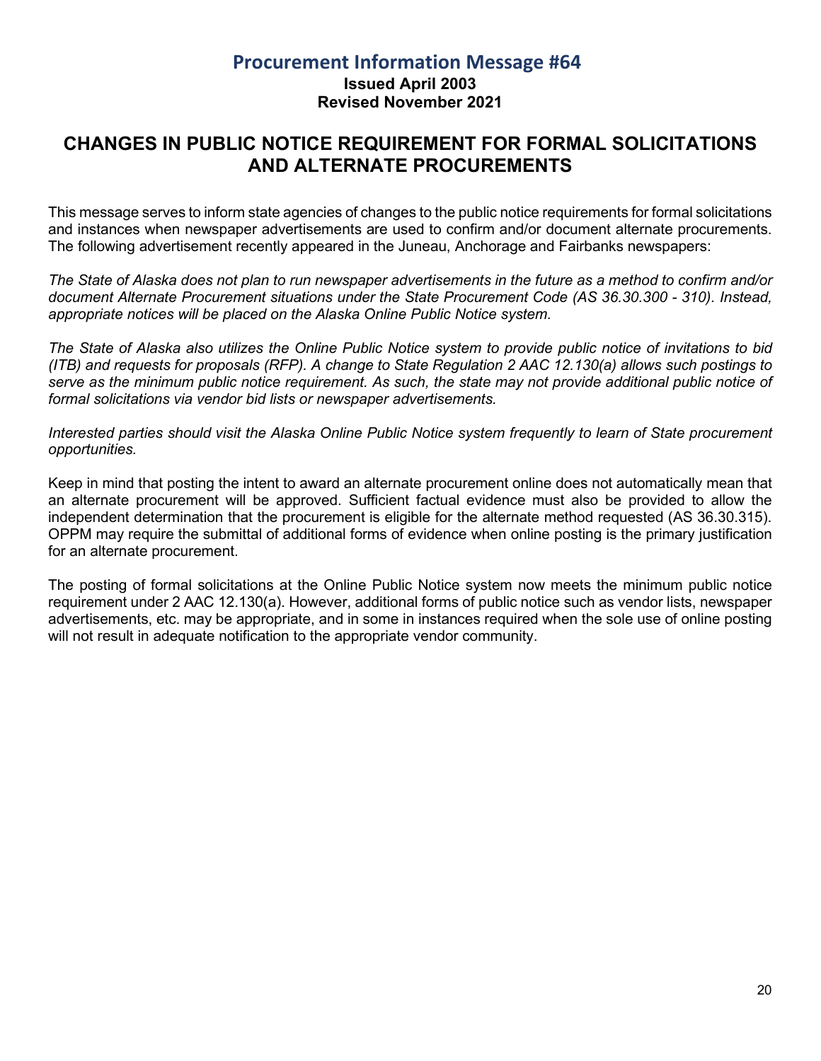#### **Procurement Information Message #64 Issued April 2003 Revised November 2021**

## <span id="page-19-0"></span>**CHANGES IN PUBLIC NOTICE REQUIREMENT FOR FORMAL SOLICITATIONS AND ALTERNATE PROCUREMENTS**

This message serves to inform state agencies of changes to the public notice requirements for formal solicitations and instances when newspaper advertisements are used to confirm and/or document alternate procurements. The following advertisement recently appeared in the Juneau, Anchorage and Fairbanks newspapers:

*The State of Alaska does not plan to run newspaper advertisements in the future as a method to confirm and/or document Alternate Procurement situations under the State Procurement Code (AS 36.30.300 - 310). Instead, appropriate notices will be placed on the Alaska Online Public Notice system.*

*The State of Alaska also utilizes the Online Public Notice system to provide public notice of invitations to bid (ITB) and requests for proposals (RFP). A change to State Regulation 2 AAC 12.130(a) allows such postings to serve as the minimum public notice requirement. As such, the state may not provide additional public notice of formal solicitations via vendor bid lists or newspaper advertisements.* 

*Interested parties should visit the Alaska Online Public Notice system frequently to learn of State procurement opportunities.*

Keep in mind that posting the intent to award an alternate procurement online does not automatically mean that an alternate procurement will be approved. Sufficient factual evidence must also be provided to allow the independent determination that the procurement is eligible for the alternate method requested (AS 36.30.315). OPPM may require the submittal of additional forms of evidence when online posting is the primary justification for an alternate procurement.

The posting of formal solicitations at the Online Public Notice system now meets the minimum public notice requirement under 2 AAC 12.130(a). However, additional forms of public notice such as vendor lists, newspaper advertisements, etc. may be appropriate, and in some in instances required when the sole use of online posting will not result in adequate notification to the appropriate vendor community.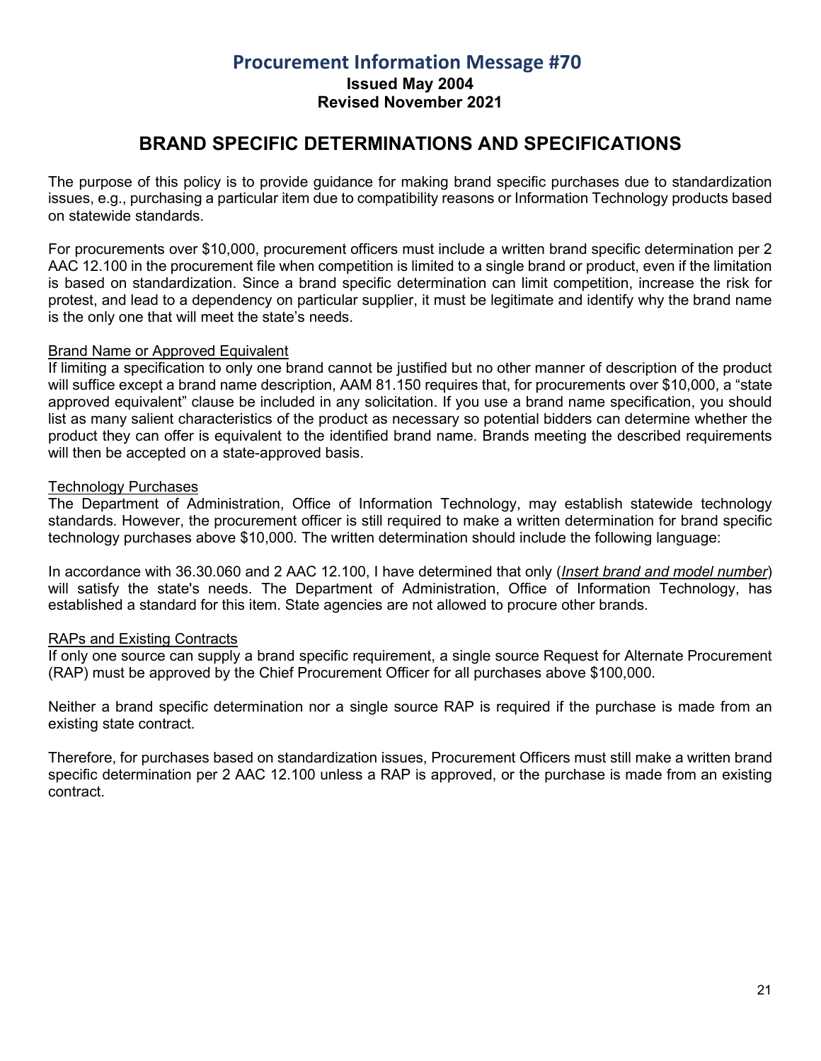**Issued May 2004**

**Revised November 2021**

## **BRAND SPECIFIC DETERMINATIONS AND SPECIFICATIONS**

<span id="page-20-0"></span>The purpose of this policy is to provide guidance for making brand specific purchases due to standardization issues, e.g., purchasing a particular item due to compatibility reasons or Information Technology products based on statewide standards.

For procurements over \$10,000, procurement officers must include a written brand specific determination per 2 AAC 12.100 in the procurement file when competition is limited to a single brand or product, even if the limitation is based on standardization. Since a brand specific determination can limit competition, increase the risk for protest, and lead to a dependency on particular supplier, it must be legitimate and identify why the brand name is the only one that will meet the state's needs.

#### Brand Name or Approved Equivalent

If limiting a specification to only one brand cannot be justified but no other manner of description of the product will suffice except a brand name description, AAM 81.150 requires that, for procurements over \$10,000, a "state approved equivalent" clause be included in any solicitation. If you use a brand name specification, you should list as many salient characteristics of the product as necessary so potential bidders can determine whether the product they can offer is equivalent to the identified brand name. Brands meeting the described requirements will then be accepted on a state-approved basis.

#### Technology Purchases

The Department of Administration, Office of Information Technology, may establish statewide technology standards. However, the procurement officer is still required to make a written determination for brand specific technology purchases above \$10,000. The written determination should include the following language:

In accordance with 36.30.060 and 2 AAC 12.100, I have determined that only (*Insert brand and model number*) will satisfy the state's needs. The Department of Administration, Office of Information Technology, has established a standard for this item. State agencies are not allowed to procure other brands.

#### RAPs and Existing Contracts

If only one source can supply a brand specific requirement, a single source Request for Alternate Procurement (RAP) must be approved by the Chief Procurement Officer for all purchases above \$100,000.

Neither a brand specific determination nor a single source RAP is required if the purchase is made from an existing state contract.

Therefore, for purchases based on standardization issues, Procurement Officers must still make a written brand specific determination per 2 AAC 12.100 unless a RAP is approved, or the purchase is made from an existing contract.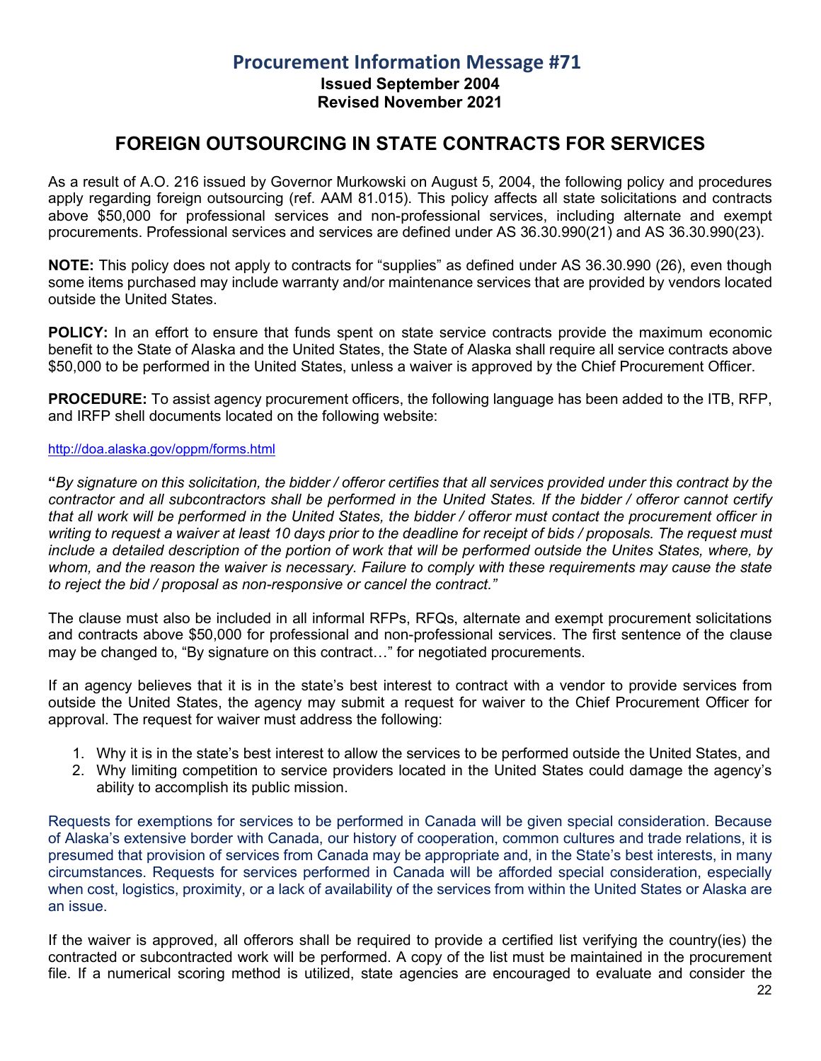**Issued September 2004 Revised November 2021**

## **FOREIGN OUTSOURCING IN STATE CONTRACTS FOR SERVICES**

<span id="page-21-0"></span>As a result of A.O. 216 issued by Governor Murkowski on August 5, 2004, the following policy and procedures apply regarding foreign outsourcing (ref. AAM 81.015). This policy affects all state solicitations and contracts above \$50,000 for professional services and non-professional services, including alternate and exempt procurements. Professional services and services are defined under AS 36.30.990(21) and AS 36.30.990(23).

**NOTE:** This policy does not apply to contracts for "supplies" as defined under AS 36.30.990 (26), even though some items purchased may include warranty and/or maintenance services that are provided by vendors located outside the United States.

**POLICY:** In an effort to ensure that funds spent on state service contracts provide the maximum economic benefit to the State of Alaska and the United States, the State of Alaska shall require all service contracts above \$50,000 to be performed in the United States, unless a waiver is approved by the Chief Procurement Officer.

**PROCEDURE:** To assist agency procurement officers, the following language has been added to the ITB, RFP, and IRFP shell documents located on the following website:

#### <http://doa.alaska.gov/oppm/forms.html>

**"***By signature on this solicitation, the bidder / offeror certifies that all services provided under this contract by the contractor and all subcontractors shall be performed in the United States. If the bidder / offeror cannot certify that all work will be performed in the United States, the bidder / offeror must contact the procurement officer in writing to request a waiver at least 10 days prior to the deadline for receipt of bids / proposals. The request must include a detailed description of the portion of work that will be performed outside the Unites States, where, by whom, and the reason the waiver is necessary. Failure to comply with these requirements may cause the state to reject the bid / proposal as non-responsive or cancel the contract."*

The clause must also be included in all informal RFPs, RFQs, alternate and exempt procurement solicitations and contracts above \$50,000 for professional and non-professional services. The first sentence of the clause may be changed to, "By signature on this contract…" for negotiated procurements.

If an agency believes that it is in the state's best interest to contract with a vendor to provide services from outside the United States, the agency may submit a request for waiver to the Chief Procurement Officer for approval. The request for waiver must address the following:

- 1. Why it is in the state's best interest to allow the services to be performed outside the United States, and
- 2. Why limiting competition to service providers located in the United States could damage the agency's ability to accomplish its public mission.

Requests for exemptions for services to be performed in Canada will be given special consideration. Because of Alaska's extensive border with Canada, our history of cooperation, common cultures and trade relations, it is presumed that provision of services from Canada may be appropriate and, in the State's best interests, in many circumstances. Requests for services performed in Canada will be afforded special consideration, especially when cost, logistics, proximity, or a lack of availability of the services from within the United States or Alaska are an issue.

If the waiver is approved, all offerors shall be required to provide a certified list verifying the country(ies) the contracted or subcontracted work will be performed. A copy of the list must be maintained in the procurement file. If a numerical scoring method is utilized, state agencies are encouraged to evaluate and consider the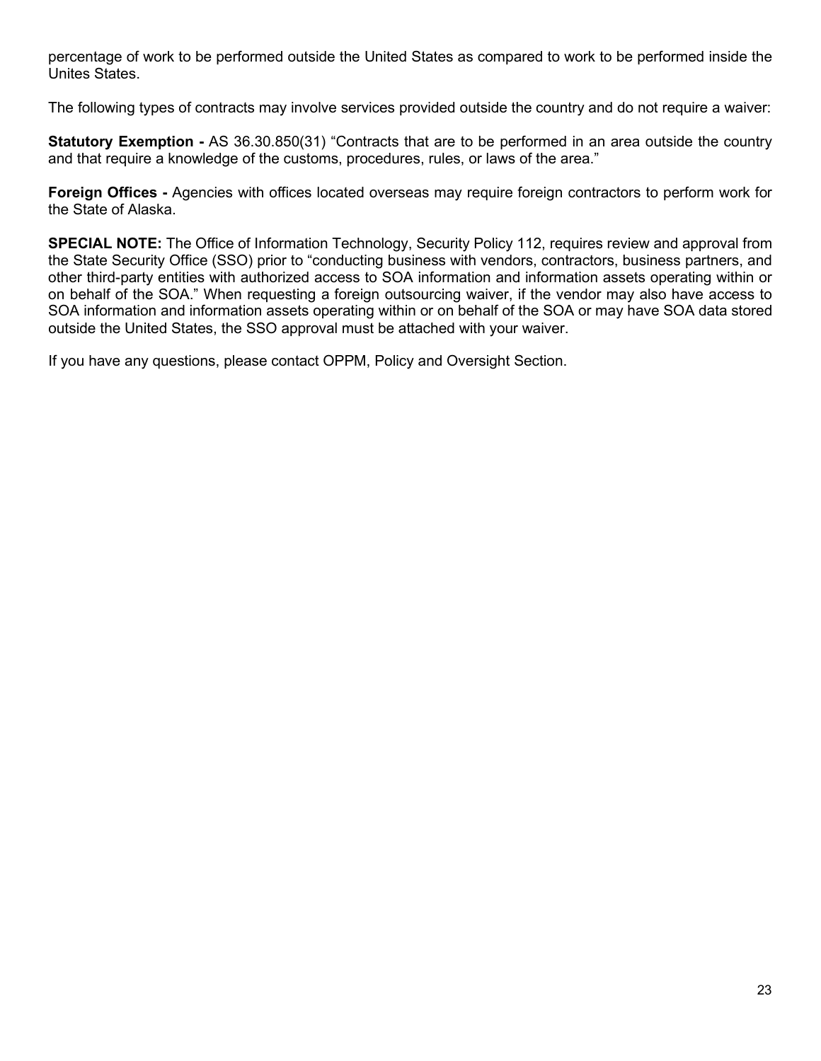percentage of work to be performed outside the United States as compared to work to be performed inside the Unites States.

The following types of contracts may involve services provided outside the country and do not require a waiver:

**Statutory Exemption -** AS 36.30.850(31) "Contracts that are to be performed in an area outside the country and that require a knowledge of the customs, procedures, rules, or laws of the area."

**Foreign Offices -** Agencies with offices located overseas may require foreign contractors to perform work for the State of Alaska.

**SPECIAL NOTE:** The Office of Information Technology, Security Policy 112, requires review and approval from the State Security Office (SSO) prior to "conducting business with vendors, contractors, business partners, and other third-party entities with authorized access to SOA information and information assets operating within or on behalf of the SOA." When requesting a foreign outsourcing waiver, if the vendor may also have access to SOA information and information assets operating within or on behalf of the SOA or may have SOA data stored outside the United States, the SSO approval must be attached with your waiver.

If you have any questions, please contact OPPM, Policy and Oversight Section.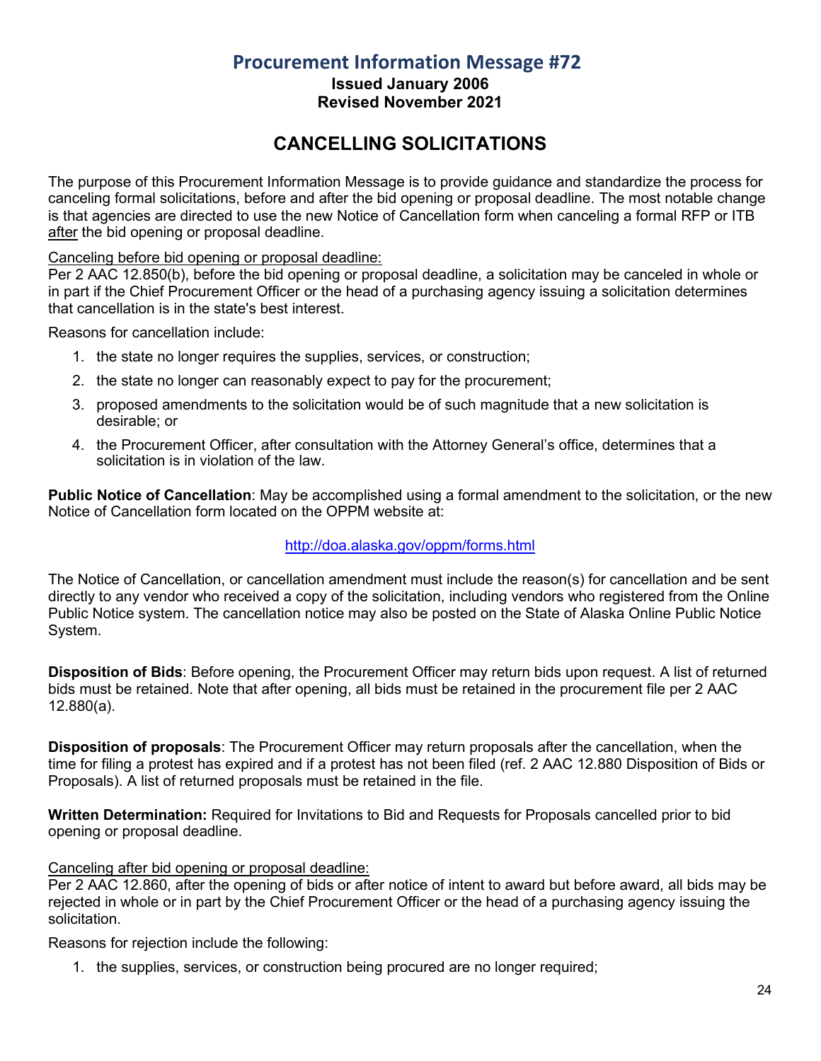**Issued January 2006 Revised November 2021**

## **CANCELLING SOLICITATIONS**

<span id="page-23-0"></span>The purpose of this Procurement Information Message is to provide guidance and standardize the process for canceling formal solicitations, before and after the bid opening or proposal deadline. The most notable change is that agencies are directed to use the new Notice of Cancellation form when canceling a formal RFP or ITB after the bid opening or proposal deadline.

#### Canceling before bid opening or proposal deadline:

Per 2 AAC 12.850(b), before the bid opening or proposal deadline, a solicitation may be canceled in whole or in part if the Chief Procurement Officer or the head of a purchasing agency issuing a solicitation determines that cancellation is in the state's best interest.

Reasons for cancellation include:

- 1. the state no longer requires the supplies, services, or construction;
- 2. the state no longer can reasonably expect to pay for the procurement;
- 3. proposed amendments to the solicitation would be of such magnitude that a new solicitation is desirable; or
- 4. the Procurement Officer, after consultation with the Attorney General's office, determines that a solicitation is in violation of the law.

**Public Notice of Cancellation**: May be accomplished using a formal amendment to the solicitation, or the new Notice of Cancellation form located on the OPPM website at:

#### <http://doa.alaska.gov/oppm/forms.html>

The Notice of Cancellation, or cancellation amendment must include the reason(s) for cancellation and be sent directly to any vendor who received a copy of the solicitation, including vendors who registered from the Online Public Notice system. The cancellation notice may also be posted on the State of Alaska Online Public Notice System.

**Disposition of Bids**: Before opening, the Procurement Officer may return bids upon request. A list of returned bids must be retained. Note that after opening, all bids must be retained in the procurement file per 2 AAC 12.880(a).

**Disposition of proposals**: The Procurement Officer may return proposals after the cancellation, when the time for filing a protest has expired and if a protest has not been filed (ref. 2 AAC 12.880 Disposition of Bids or Proposals). A list of returned proposals must be retained in the file.

**Written Determination:** Required for Invitations to Bid and Requests for Proposals cancelled prior to bid opening or proposal deadline.

#### Canceling after bid opening or proposal deadline:

Per 2 AAC 12.860, after the opening of bids or after notice of intent to award but before award, all bids may be rejected in whole or in part by the Chief Procurement Officer or the head of a purchasing agency issuing the solicitation.

Reasons for rejection include the following:

1. the supplies, services, or construction being procured are no longer required;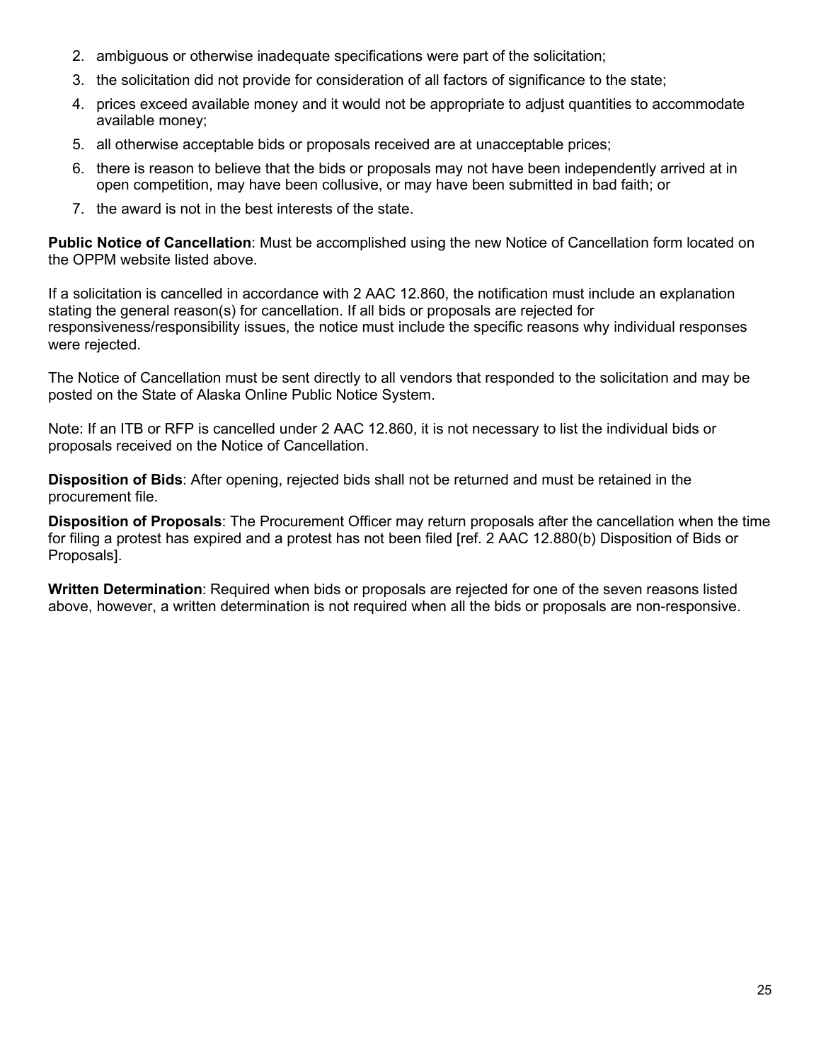- 2. ambiguous or otherwise inadequate specifications were part of the solicitation;
- 3. the solicitation did not provide for consideration of all factors of significance to the state;
- 4. prices exceed available money and it would not be appropriate to adjust quantities to accommodate available money;
- 5. all otherwise acceptable bids or proposals received are at unacceptable prices;
- 6. there is reason to believe that the bids or proposals may not have been independently arrived at in open competition, may have been collusive, or may have been submitted in bad faith; or
- 7. the award is not in the best interests of the state.

**Public Notice of Cancellation**: Must be accomplished using the new Notice of Cancellation form located on the OPPM website listed above.

If a solicitation is cancelled in accordance with 2 AAC 12.860, the notification must include an explanation stating the general reason(s) for cancellation. If all bids or proposals are rejected for responsiveness/responsibility issues, the notice must include the specific reasons why individual responses were rejected.

The Notice of Cancellation must be sent directly to all vendors that responded to the solicitation and may be posted on the State of Alaska Online Public Notice System.

Note: If an ITB or RFP is cancelled under 2 AAC 12.860, it is not necessary to list the individual bids or proposals received on the Notice of Cancellation.

**Disposition of Bids**: After opening, rejected bids shall not be returned and must be retained in the procurement file.

**Disposition of Proposals**: The Procurement Officer may return proposals after the cancellation when the time for filing a protest has expired and a protest has not been filed [ref. 2 AAC 12.880(b) Disposition of Bids or Proposals].

**Written Determination**: Required when bids or proposals are rejected for one of the seven reasons listed above, however, a written determination is not required when all the bids or proposals are non-responsive.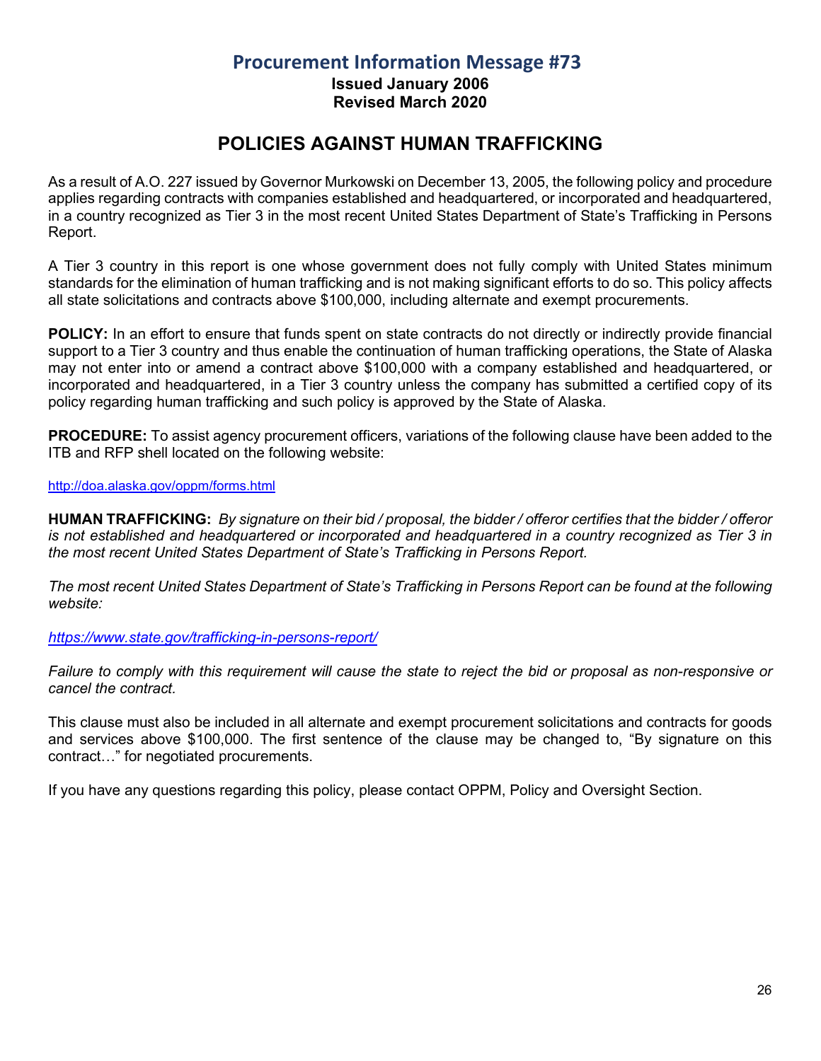**Issued January 2006 Revised March 2020**

## **POLICIES AGAINST HUMAN TRAFFICKING**

<span id="page-25-0"></span>As a result of A.O. 227 issued by Governor Murkowski on December 13, 2005, the following policy and procedure applies regarding contracts with companies established and headquartered, or incorporated and headquartered, in a country recognized as Tier 3 in the most recent United States Department of State's Trafficking in Persons Report.

A Tier 3 country in this report is one whose government does not fully comply with United States minimum standards for the elimination of human trafficking and is not making significant efforts to do so. This policy affects all state solicitations and contracts above \$100,000, including alternate and exempt procurements.

**POLICY:** In an effort to ensure that funds spent on state contracts do not directly or indirectly provide financial support to a Tier 3 country and thus enable the continuation of human trafficking operations, the State of Alaska may not enter into or amend a contract above \$100,000 with a company established and headquartered, or incorporated and headquartered, in a Tier 3 country unless the company has submitted a certified copy of its policy regarding human trafficking and such policy is approved by the State of Alaska.

**PROCEDURE:** To assist agency procurement officers, variations of the following clause have been added to the ITB and RFP shell located on the following website:

#### <http://doa.alaska.gov/oppm/forms.html>

**HUMAN TRAFFICKING:** *By signature on their bid / proposal, the bidder / offeror certifies that the bidder / offeror is not established and headquartered or incorporated and headquartered in a country recognized as Tier 3 in the most recent United States Department of State's Trafficking in Persons Report.* 

*The most recent United States Department of State's Trafficking in Persons Report can be found at the following website:* 

*<https://www.state.gov/trafficking-in-persons-report/>*

*Failure to comply with this requirement will cause the state to reject the bid or proposal as non-responsive or cancel the contract.*

This clause must also be included in all alternate and exempt procurement solicitations and contracts for goods and services above \$100,000. The first sentence of the clause may be changed to, "By signature on this contract…" for negotiated procurements.

If you have any questions regarding this policy, please contact OPPM, Policy and Oversight Section.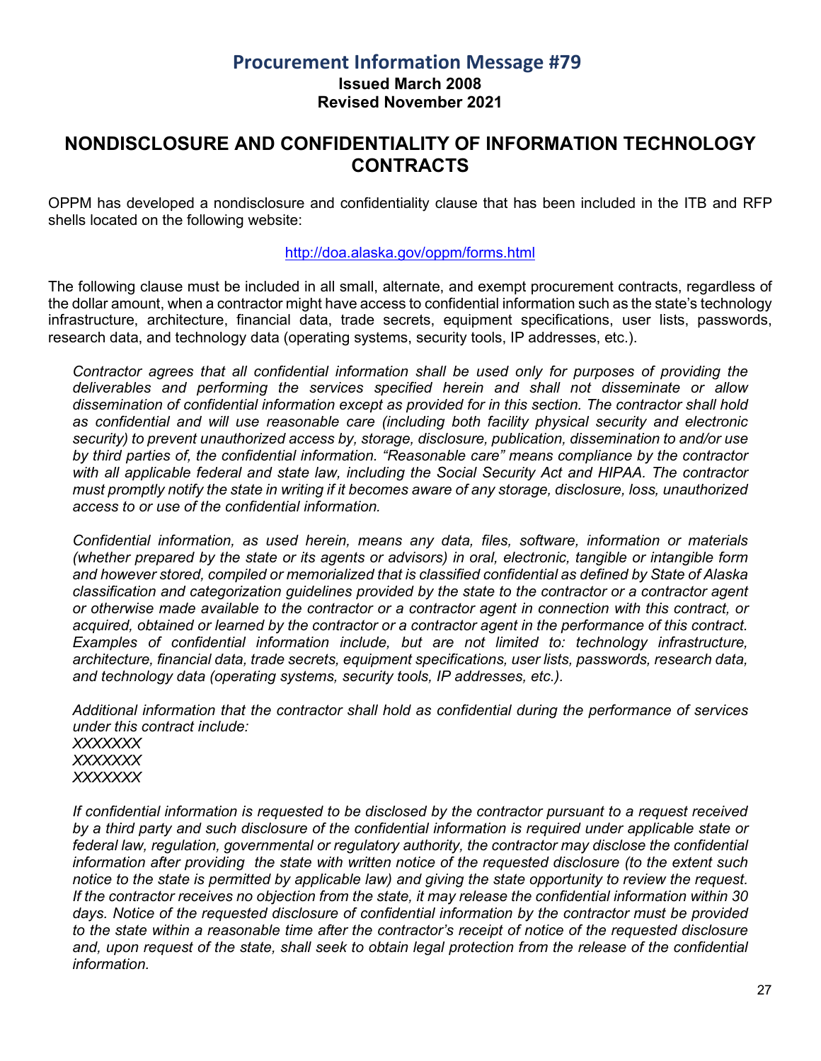**Issued March 2008 Revised November 2021**

#### <span id="page-26-0"></span>**NONDISCLOSURE AND CONFIDENTIALITY OF INFORMATION TECHNOLOGY CONTRACTS**

OPPM has developed a nondisclosure and confidentiality clause that has been included in the ITB and RFP shells located on the following website:

#### <http://doa.alaska.gov/oppm/forms.html>

The following clause must be included in all small, alternate, and exempt procurement contracts, regardless of the dollar amount, when a contractor might have access to confidential information such as the state's technology infrastructure, architecture, financial data, trade secrets, equipment specifications, user lists, passwords, research data, and technology data (operating systems, security tools, IP addresses, etc.).

*Contractor agrees that all confidential information shall be used only for purposes of providing the deliverables and performing the services specified herein and shall not disseminate or allow dissemination of confidential information except as provided for in this section. The contractor shall hold as confidential and will use reasonable care (including both facility physical security and electronic security) to prevent unauthorized access by, storage, disclosure, publication, dissemination to and/or use by third parties of, the confidential information. "Reasonable care" means compliance by the contractor with all applicable federal and state law, including the Social Security Act and HIPAA. The contractor must promptly notify the state in writing if it becomes aware of any storage, disclosure, loss, unauthorized access to or use of the confidential information.*

*Confidential information, as used herein, means any data, files, software, information or materials (whether prepared by the state or its agents or advisors) in oral, electronic, tangible or intangible form and however stored, compiled or memorialized that is classified confidential as defined by State of Alaska classification and categorization guidelines provided by the state to the contractor or a contractor agent or otherwise made available to the contractor or a contractor agent in connection with this contract, or acquired, obtained or learned by the contractor or a contractor agent in the performance of this contract. Examples of confidential information include, but are not limited to: technology infrastructure, architecture, financial data, trade secrets, equipment specifications, user lists, passwords, research data, and technology data (operating systems, security tools, IP addresses, etc.).*

*Additional information that the contractor shall hold as confidential during the performance of services under this contract include: XXXXXXX XXXXXXX*

*XXXXXXX*

*If confidential information is requested to be disclosed by the contractor pursuant to a request received by a third party and such disclosure of the confidential information is required under applicable state or federal law, regulation, governmental or regulatory authority, the contractor may disclose the confidential information after providing the state with written notice of the requested disclosure (to the extent such notice to the state is permitted by applicable law) and giving the state opportunity to review the request. If the contractor receives no objection from the state, it may release the confidential information within 30 days. Notice of the requested disclosure of confidential information by the contractor must be provided to the state within a reasonable time after the contractor's receipt of notice of the requested disclosure and, upon request of the state, shall seek to obtain legal protection from the release of the confidential information.*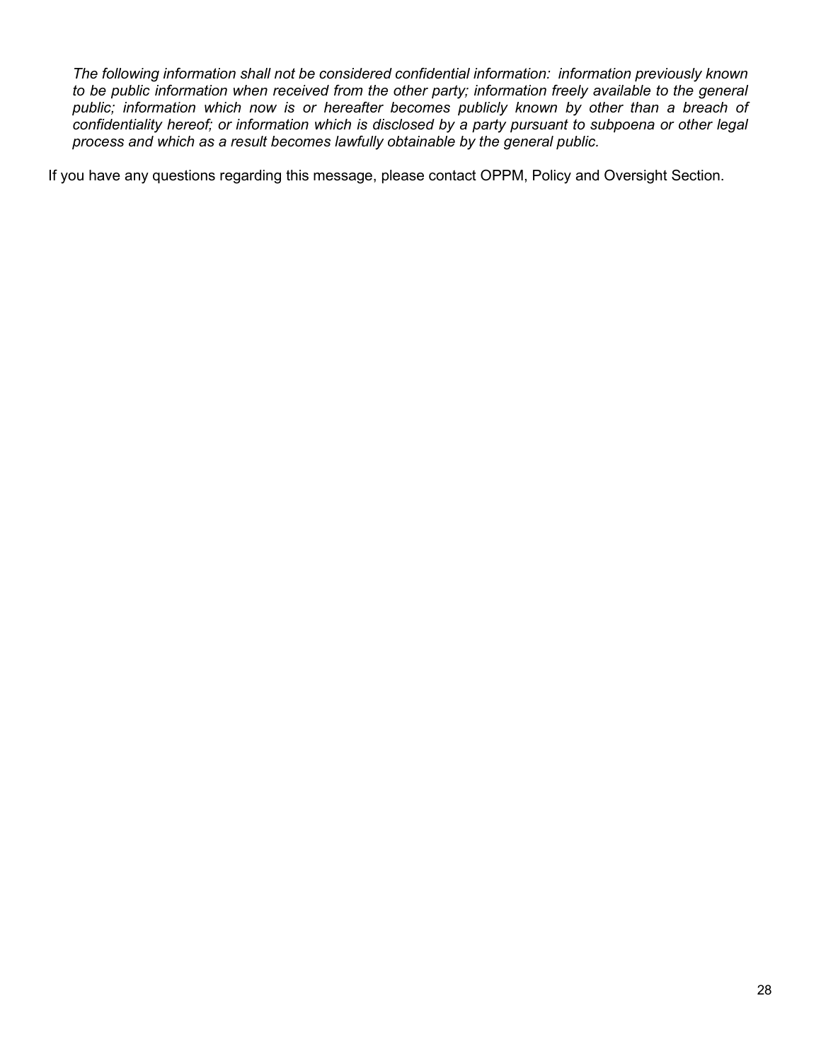*The following information shall not be considered confidential information: information previously known to be public information when received from the other party; information freely available to the general public; information which now is or hereafter becomes publicly known by other than a breach of confidentiality hereof; or information which is disclosed by a party pursuant to subpoena or other legal process and which as a result becomes lawfully obtainable by the general public.*

If you have any questions regarding this message, please contact OPPM, Policy and Oversight Section.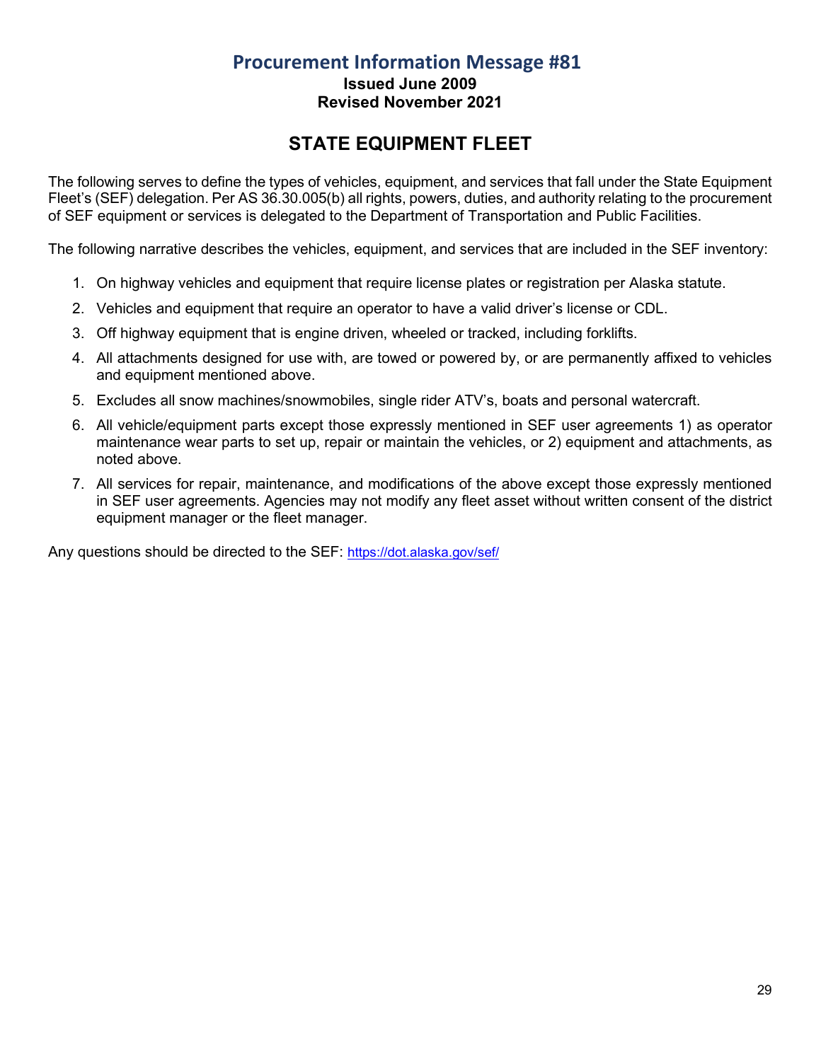## **Procurement Information Message #81 Issued June 2009**

#### **Revised November 2021**

# **STATE EQUIPMENT FLEET**

<span id="page-28-0"></span>The following serves to define the types of vehicles, equipment, and services that fall under the State Equipment Fleet's (SEF) delegation. Per AS 36.30.005(b) all rights, powers, duties, and authority relating to the procurement of SEF equipment or services is delegated to the Department of Transportation and Public Facilities.

The following narrative describes the vehicles, equipment, and services that are included in the SEF inventory:

- 1. On highway vehicles and equipment that require license plates or registration per Alaska statute.
- 2. Vehicles and equipment that require an operator to have a valid driver's license or CDL.
- 3. Off highway equipment that is engine driven, wheeled or tracked, including forklifts.
- 4. All attachments designed for use with, are towed or powered by, or are permanently affixed to vehicles and equipment mentioned above.
- 5. Excludes all snow machines/snowmobiles, single rider ATV's, boats and personal watercraft.
- 6. All vehicle/equipment parts except those expressly mentioned in SEF user agreements 1) as operator maintenance wear parts to set up, repair or maintain the vehicles, or 2) equipment and attachments, as noted above.
- 7. All services for repair, maintenance, and modifications of the above except those expressly mentioned in SEF user agreements. Agencies may not modify any fleet asset without written consent of the district equipment manager or the fleet manager.

Any questions should be directed to the SEF:<https://dot.alaska.gov/sef/>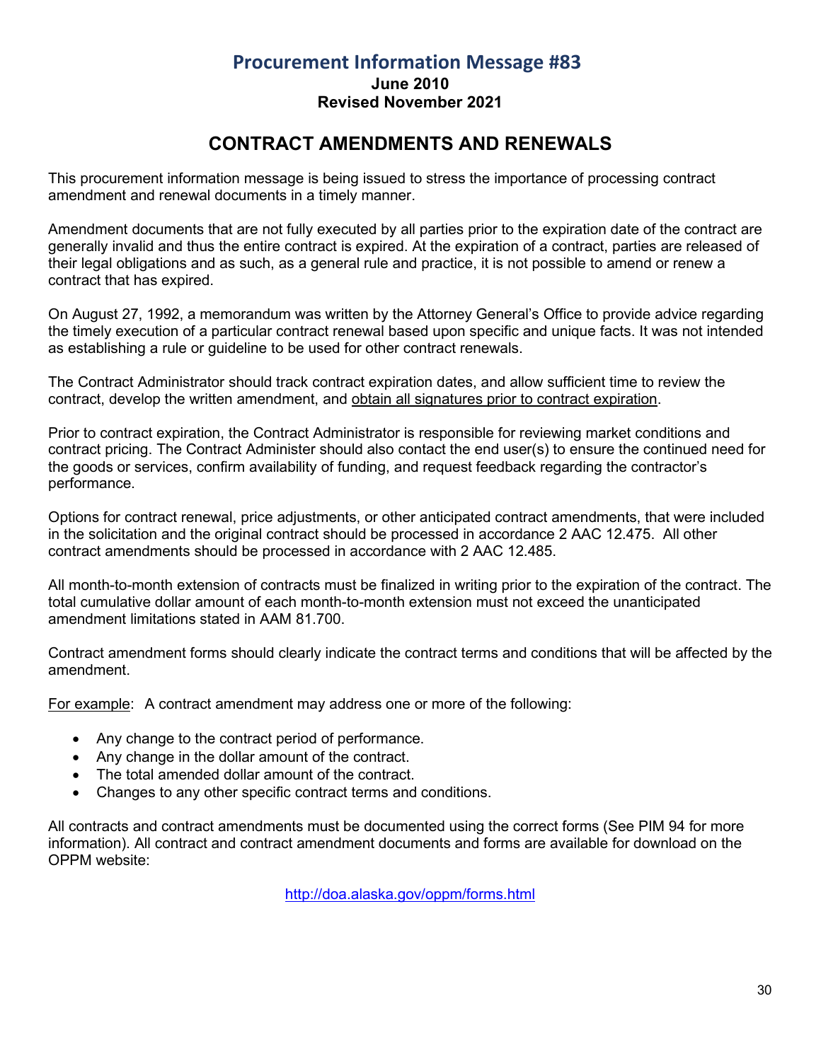## **Procurement Information Message #83 June 2010 Revised November 2021**

## **CONTRACT AMENDMENTS AND RENEWALS**

<span id="page-29-0"></span>This procurement information message is being issued to stress the importance of processing contract amendment and renewal documents in a timely manner.

Amendment documents that are not fully executed by all parties prior to the expiration date of the contract are generally invalid and thus the entire contract is expired. At the expiration of a contract, parties are released of their legal obligations and as such, as a general rule and practice, it is not possible to amend or renew a contract that has expired.

On August 27, 1992, a memorandum was written by the Attorney General's Office to provide advice regarding the timely execution of a particular contract renewal based upon specific and unique facts. It was not intended as establishing a rule or guideline to be used for other contract renewals.

The Contract Administrator should track contract expiration dates, and allow sufficient time to review the contract, develop the written amendment, and obtain all signatures prior to contract expiration.

Prior to contract expiration, the Contract Administrator is responsible for reviewing market conditions and contract pricing. The Contract Administer should also contact the end user(s) to ensure the continued need for the goods or services, confirm availability of funding, and request feedback regarding the contractor's performance.

Options for contract renewal, price adjustments, or other anticipated contract amendments, that were included in the solicitation and the original contract should be processed in accordance 2 AAC 12.475. All other contract amendments should be processed in accordance with 2 AAC 12.485.

All month-to-month extension of contracts must be finalized in writing prior to the expiration of the contract. The total cumulative dollar amount of each month-to-month extension must not exceed the unanticipated amendment limitations stated in AAM 81.700.

Contract amendment forms should clearly indicate the contract terms and conditions that will be affected by the amendment.

For example: A contract amendment may address one or more of the following:

- Any change to the contract period of performance.
- Any change in the dollar amount of the contract.
- The total amended dollar amount of the contract.
- Changes to any other specific contract terms and conditions.

All contracts and contract amendments must be documented using the correct forms (See PIM 94 for more information). All contract and contract amendment documents and forms are available for download on the OPPM website:

<http://doa.alaska.gov/oppm/forms.html>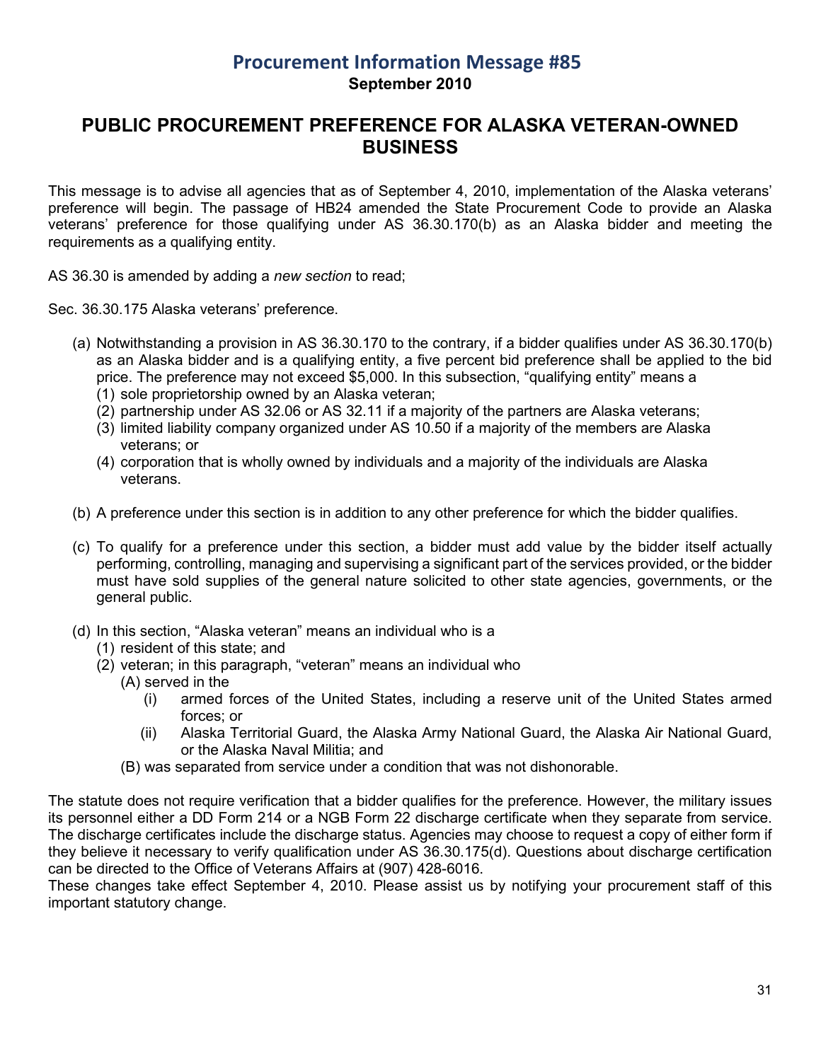## **Procurement Information Message #85 September 2010**

## <span id="page-30-0"></span>**PUBLIC PROCUREMENT PREFERENCE FOR ALASKA VETERAN-OWNED BUSINESS**

This message is to advise all agencies that as of September 4, 2010, implementation of the Alaska veterans' preference will begin. The passage of HB24 amended the State Procurement Code to provide an Alaska veterans' preference for those qualifying under AS 36.30.170(b) as an Alaska bidder and meeting the requirements as a qualifying entity.

AS 36.30 is amended by adding a *new section* to read;

Sec. 36.30.175 Alaska veterans' preference.

- (a) Notwithstanding a provision in AS 36.30.170 to the contrary, if a bidder qualifies under AS 36.30.170(b) as an Alaska bidder and is a qualifying entity, a five percent bid preference shall be applied to the bid price. The preference may not exceed \$5,000. In this subsection, "qualifying entity" means a
	- (1) sole proprietorship owned by an Alaska veteran;
	- (2) partnership under AS 32.06 or AS 32.11 if a majority of the partners are Alaska veterans;
	- (3) limited liability company organized under AS 10.50 if a majority of the members are Alaska veterans; or
	- (4) corporation that is wholly owned by individuals and a majority of the individuals are Alaska veterans.
- (b) A preference under this section is in addition to any other preference for which the bidder qualifies.
- (c) To qualify for a preference under this section, a bidder must add value by the bidder itself actually performing, controlling, managing and supervising a significant part of the services provided, or the bidder must have sold supplies of the general nature solicited to other state agencies, governments, or the general public.
- (d) In this section, "Alaska veteran" means an individual who is a
	- (1) resident of this state; and
	- (2) veteran; in this paragraph, "veteran" means an individual who
		- (A) served in the
			- (i) armed forces of the United States, including a reserve unit of the United States armed forces; or
			- (ii) Alaska Territorial Guard, the Alaska Army National Guard, the Alaska Air National Guard, or the Alaska Naval Militia; and
		- (B) was separated from service under a condition that was not dishonorable.

The statute does not require verification that a bidder qualifies for the preference. However, the military issues its personnel either a DD Form 214 or a NGB Form 22 discharge certificate when they separate from service. The discharge certificates include the discharge status. Agencies may choose to request a copy of either form if they believe it necessary to verify qualification under AS 36.30.175(d). Questions about discharge certification can be directed to the Office of Veterans Affairs at (907) 428-6016.

These changes take effect September 4, 2010. Please assist us by notifying your procurement staff of this important statutory change.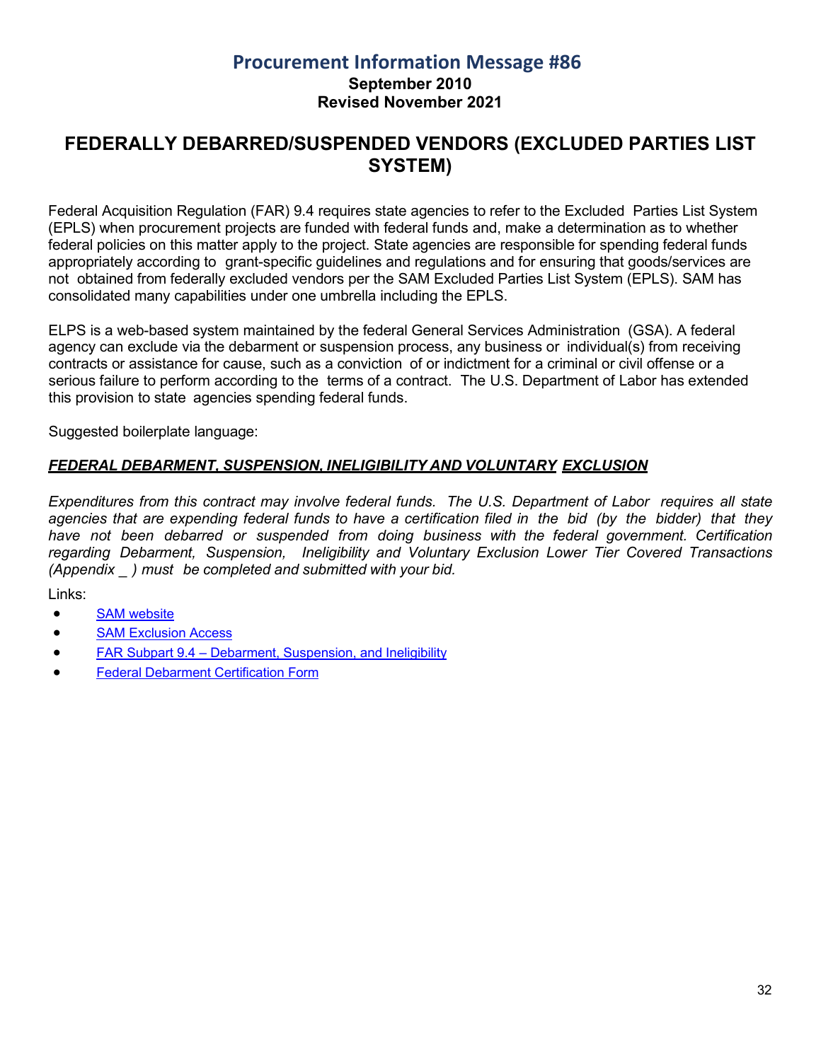#### **Procurement Information Message #86 September 2010 Revised November 2021**

## <span id="page-31-0"></span>**FEDERALLY DEBARRED/SUSPENDED VENDORS (EXCLUDED PARTIES LIST SYSTEM)**

Federal Acquisition Regulation (FAR) 9.4 requires state agencies to refer to the Excluded Parties List System (EPLS) when procurement projects are funded with federal funds and, make a determination as to whether federal policies on this matter apply to the project. State agencies are responsible for spending federal funds appropriately according to grant-specific guidelines and regulations and for ensuring that goods/services are not obtained from federally excluded vendors per the SAM Excluded Parties List System (EPLS). SAM has consolidated many capabilities under one umbrella including the EPLS.

ELPS is a web-based system maintained by the federal General Services Administration (GSA). A federal agency can exclude via the debarment or suspension process, any business or individual(s) from receiving contracts or assistance for cause, such as a conviction of or indictment for a criminal or civil offense or a serious failure to perform according to the terms of a contract. The U.S. Department of Labor has extended this provision to state agencies spending federal funds.

Suggested boilerplate language:

#### *FEDERAL DEBARMENT, SUSPENSION, INELIGIBILITY AND VOLUNTARY EXCLUSION*

*Expenditures from this contract may involve federal funds. The U.S. Department of Labor requires all state* agencies that are expending federal funds to have a certification filed in the bid (by the bidder) that they *have not been debarred or suspended from doing business with the federal government. Certification regarding Debarment, Suspension, Ineligibility and Voluntary Exclusion Lower Tier Covered Transactions (Appendix \_ ) must be completed and submitted with your bid.*

Links:

- [SAM website](https://sam.gov/content/home)
- [SAM Exclusion Access](https://sam.gov/content/exclusions)
- FAR Subpart 9.4 Debarment, [Suspension,](https://www.acquisition.gov/far/subpart-9.4) and Ineligibility
- [Federal Debarment](https://aws.state.ak.us/OnlinePublicNotices/Notices/Attachment.aspx?id=114446) Certification Form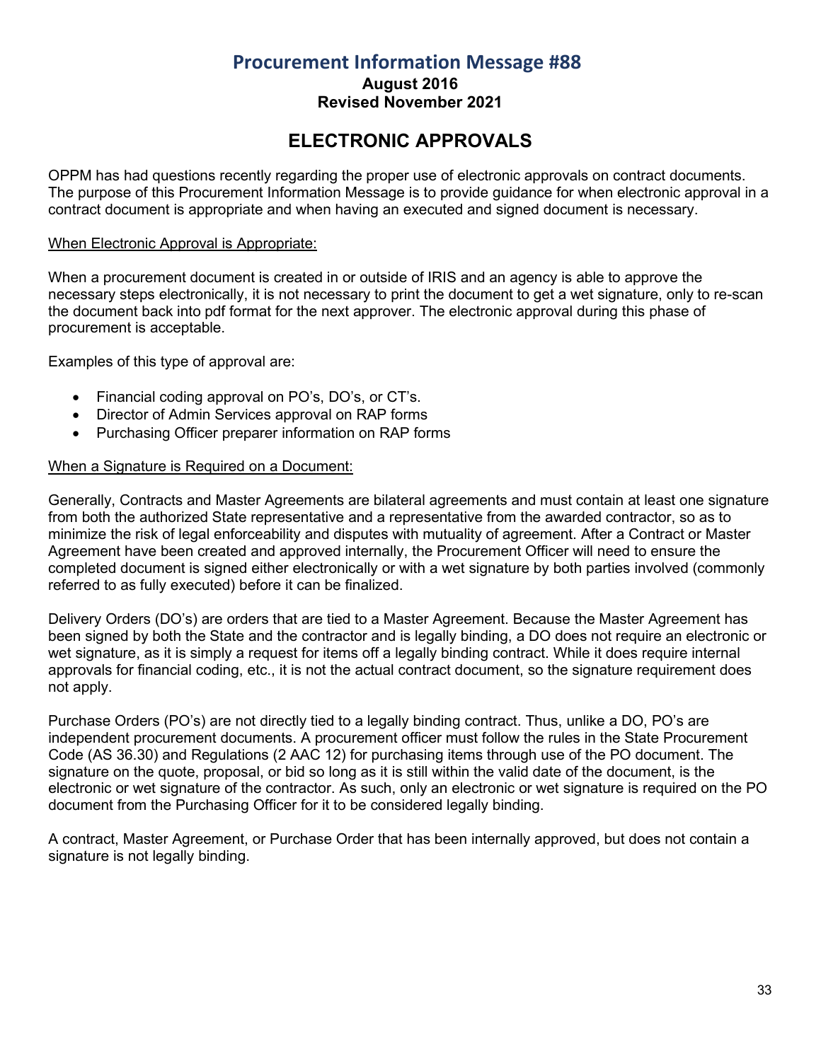**August 2016**

**Revised November 2021**

# **ELECTRONIC APPROVALS**

<span id="page-32-0"></span>OPPM has had questions recently regarding the proper use of electronic approvals on contract documents. The purpose of this Procurement Information Message is to provide guidance for when electronic approval in a contract document is appropriate and when having an executed and signed document is necessary.

#### When Electronic Approval is Appropriate:

When a procurement document is created in or outside of IRIS and an agency is able to approve the necessary steps electronically, it is not necessary to print the document to get a wet signature, only to re-scan the document back into pdf format for the next approver. The electronic approval during this phase of procurement is acceptable.

Examples of this type of approval are:

- Financial coding approval on PO's, DO's, or CT's.
- Director of Admin Services approval on RAP forms
- Purchasing Officer preparer information on RAP forms

#### When a Signature is Required on a Document:

Generally, Contracts and Master Agreements are bilateral agreements and must contain at least one signature from both the authorized State representative and a representative from the awarded contractor, so as to minimize the risk of legal enforceability and disputes with mutuality of agreement. After a Contract or Master Agreement have been created and approved internally, the Procurement Officer will need to ensure the completed document is signed either electronically or with a wet signature by both parties involved (commonly referred to as fully executed) before it can be finalized.

Delivery Orders (DO's) are orders that are tied to a Master Agreement. Because the Master Agreement has been signed by both the State and the contractor and is legally binding, a DO does not require an electronic or wet signature, as it is simply a request for items off a legally binding contract. While it does require internal approvals for financial coding, etc., it is not the actual contract document, so the signature requirement does not apply.

Purchase Orders (PO's) are not directly tied to a legally binding contract. Thus, unlike a DO, PO's are independent procurement documents. A procurement officer must follow the rules in the State Procurement Code (AS 36.30) and Regulations (2 AAC 12) for purchasing items through use of the PO document. The signature on the quote, proposal, or bid so long as it is still within the valid date of the document, is the electronic or wet signature of the contractor. As such, only an electronic or wet signature is required on the PO document from the Purchasing Officer for it to be considered legally binding.

A contract, Master Agreement, or Purchase Order that has been internally approved, but does not contain a signature is not legally binding.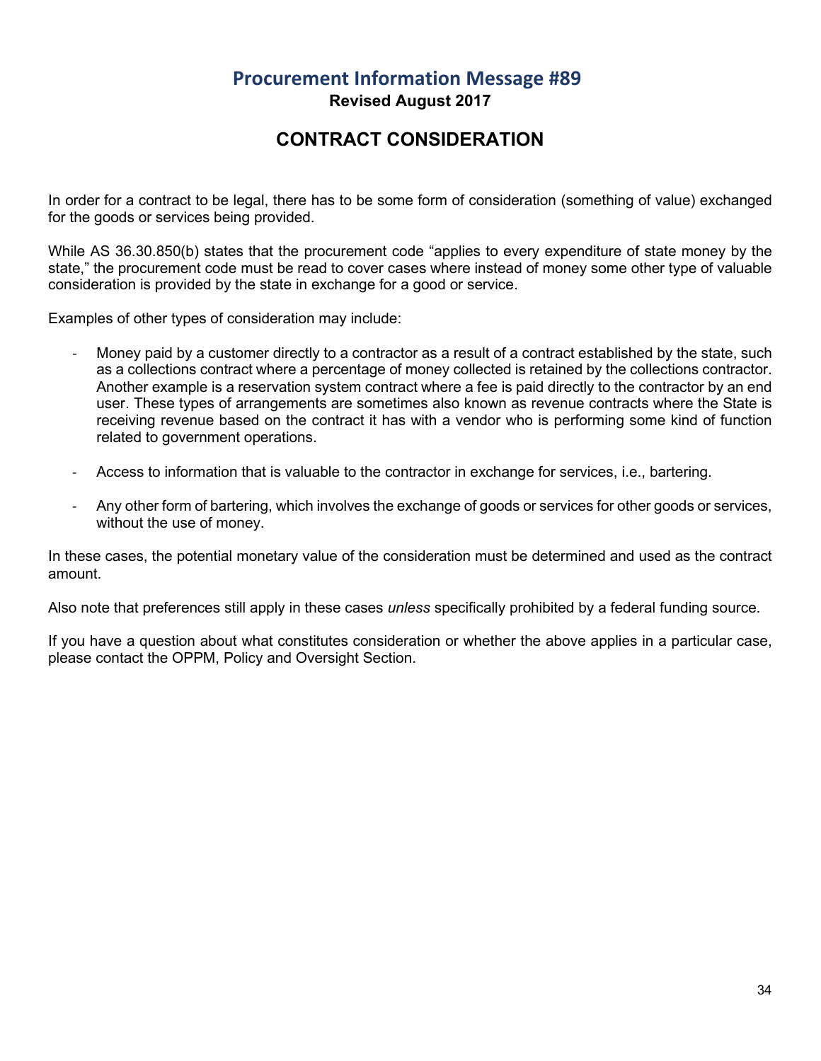## **Procurement Information Message #89 Revised August 2017**

## **CONTRACT CONSIDERATION**

<span id="page-33-0"></span>In order for a contract to be legal, there has to be some form of consideration (something of value) exchanged for the goods or services being provided.

While AS 36.30.850(b) states that the procurement code "applies to every expenditure of state money by the state," the procurement code must be read to cover cases where instead of money some other type of valuable consideration is provided by the state in exchange for a good or service.

Examples of other types of consideration may include:

- Money paid by a customer directly to a contractor as a result of a contract established by the state, such as a collections contract where a percentage of money collected is retained by the collections contractor. Another example is a reservation system contract where a fee is paid directly to the contractor by an end user. These types of arrangements are sometimes also known as revenue contracts where the State is receiving revenue based on the contract it has with a vendor who is performing some kind of function related to government operations.
- Access to information that is valuable to the contractor in exchange for services, i.e., bartering.
- Any other form of bartering, which involves the exchange of goods or services for other goods or services, without the use of money.

In these cases, the potential monetary value of the consideration must be determined and used as the contract amount.

Also note that preferences still apply in these cases *unless* specifically prohibited by a federal funding source.

If you have a question about what constitutes consideration or whether the above applies in a particular case, please contact the OPPM, Policy and Oversight Section.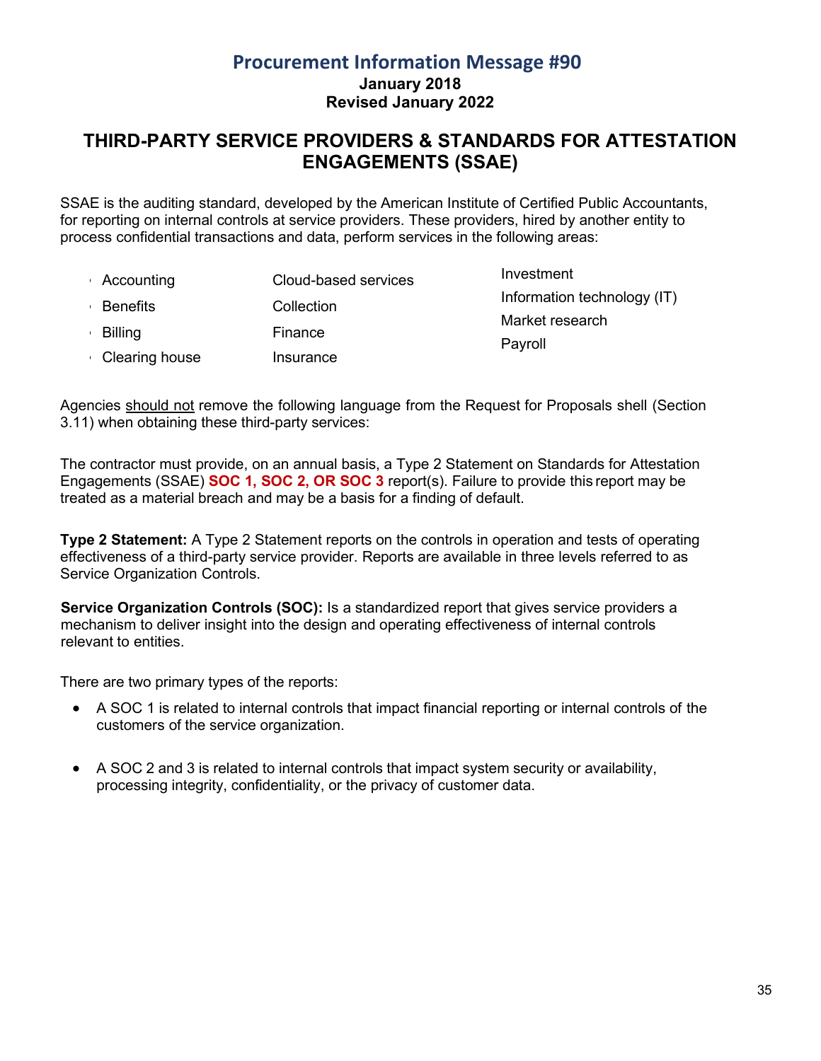## **Procurement Information Message #90 January 2018 Revised January 2022**

## <span id="page-34-0"></span>**THIRD-PARTY SERVICE PROVIDERS & STANDARDS FOR ATTESTATION ENGAGEMENTS (SSAE)**

SSAE is the auditing standard, developed by the American Institute of Certified Public Accountants, for reporting on internal controls at service providers. These providers, hired by another entity to process confidential transactions and data, perform services in the following areas:

• Accounting • Benefits • Billing • Clearing house Cloud-based services Collection Finance Insurance Investment Information technology (IT) Market research Payroll

Agencies should not remove the following language from the Request for Proposals shell (Section 3.11) when obtaining these third-party services:

The contractor must provide, on an annual basis, a Type 2 Statement on Standards for Attestation Engagements (SSAE) **SOC 1, SOC 2, OR SOC 3** report(s). Failure to provide this report may be treated as a material breach and may be a basis for a finding of default.

**Type 2 Statement:** A Type 2 Statement reports on the controls in operation and tests of operating effectiveness of a third-party service provider. Reports are available in three levels referred to as Service Organization Controls.

**Service Organization Controls (SOC):** Is a standardized report that gives service providers a mechanism to deliver insight into the design and operating effectiveness of internal controls relevant to entities.

There are two primary types of the reports:

- A SOC 1 is related to internal controls that impact financial reporting or internal controls of the customers of the service organization.
- A SOC 2 and 3 is related to internal controls that impact system security or availability, processing integrity, confidentiality, or the privacy of customer data.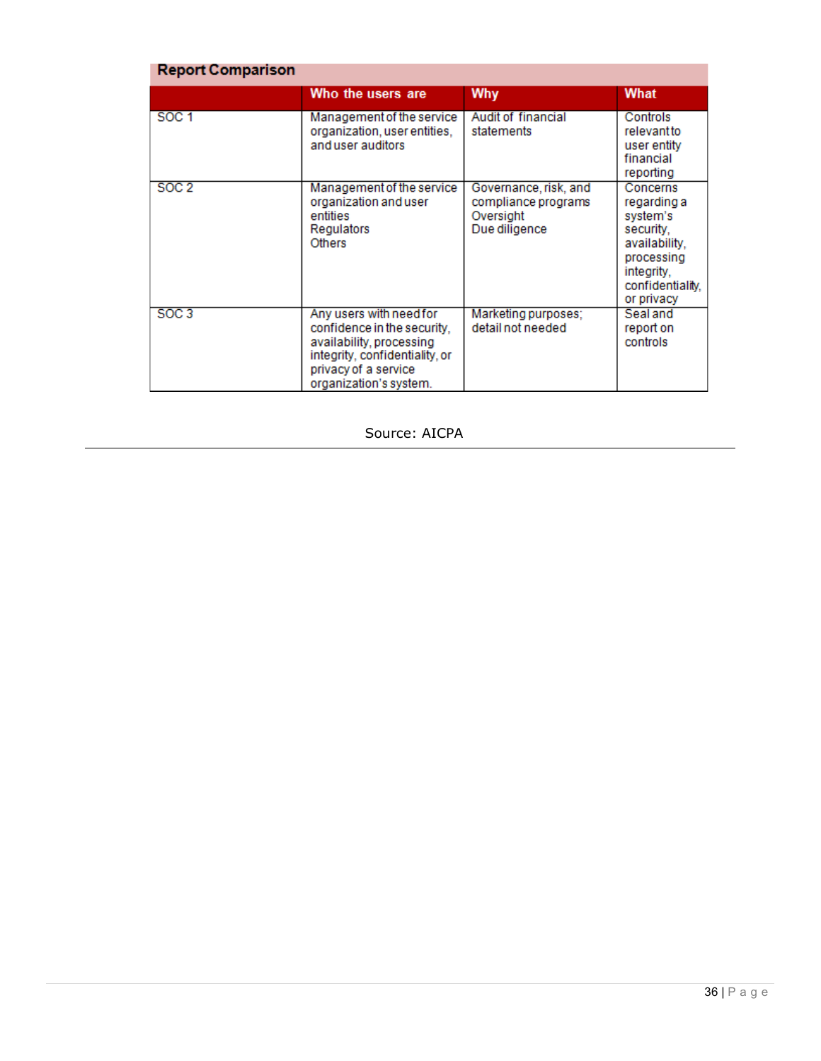| <b>Report Comparison</b> |                                                                                                                                                                        |                                                                            |                                                                                                                                 |  |  |
|--------------------------|------------------------------------------------------------------------------------------------------------------------------------------------------------------------|----------------------------------------------------------------------------|---------------------------------------------------------------------------------------------------------------------------------|--|--|
|                          | Who the users are                                                                                                                                                      | Why                                                                        | What                                                                                                                            |  |  |
| SOC <sub>1</sub>         | Management of the service<br>organization, user entities,<br>and user auditors                                                                                         | Audit of financial<br>statements                                           | Controls<br>relevant to<br>user entity<br>financial<br>reporting                                                                |  |  |
| SOC <sub>2</sub>         | Management of the service<br>organization and user<br>entities<br><b>Regulators</b><br><b>Others</b>                                                                   | Governance, risk, and<br>compliance programs<br>Oversight<br>Due diligence | Concerns<br>regarding a<br>system's<br>security.<br>availability,<br>processing<br>integrity.<br>confidentiality.<br>or privacy |  |  |
| <b>SOC 3</b>             | Any users with need for<br>confidence in the security,<br>availability, processing<br>integrity, confidentiality, or<br>privacy of a service<br>organization's system. | Marketing purposes:<br>detail not needed                                   | Seal and<br>report on<br>controls                                                                                               |  |  |

#### Source: AICPA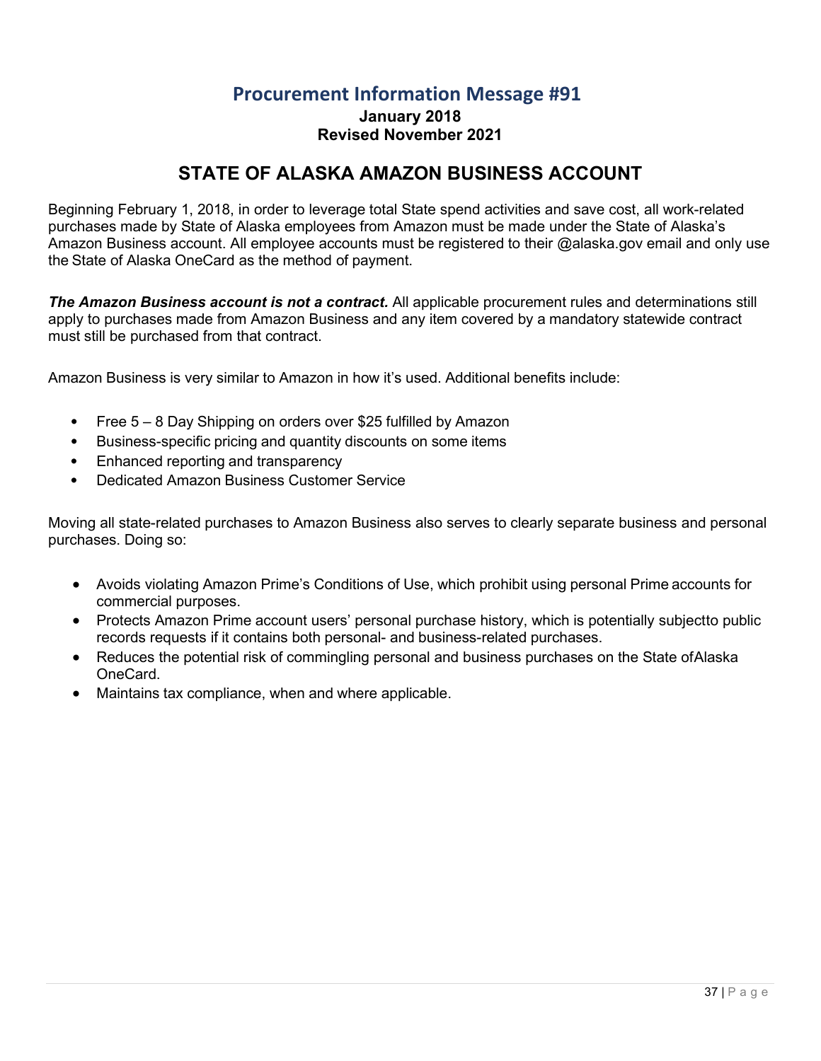**January 2018 Revised November 2021**

## **STATE OF ALASKA AMAZON BUSINESS ACCOUNT**

<span id="page-36-0"></span>Beginning February 1, 2018, in order to leverage total State spend activities and save cost, all work-related purchases made by State of Alaska employees from Amazon must be made under the State of Alaska's Amazon Business account. All employee accounts must be registered to their @alaska.gov email and only use the State of Alaska OneCard as the method of payment.

**The Amazon Business account is not a contract.** All applicable procurement rules and determinations still apply to purchases made from Amazon Business and any item covered by a mandatory statewide contract must still be purchased from that contract.

Amazon Business is very similar to Amazon in how it's used. Additional benefits include:

- Free 5 8 Day Shipping on orders over \$25 fulfilled by Amazon
- Business-specific pricing and quantity discounts on some items
- Enhanced reporting and transparency
- Dedicated Amazon Business Customer Service

Moving all state-related purchases to Amazon Business also serves to clearly separate business and personal purchases. Doing so:

- Avoids violating Amazon Prime's Conditions of Use, which prohibit using personal Prime accounts for commercial purposes.
- Protects Amazon Prime account users' personal purchase history, which is potentially subjectto public records requests if it contains both personal- and business-related purchases.
- Reduces the potential risk of commingling personal and business purchases on the State of Alaska OneCard.
- Maintains tax compliance, when and where applicable.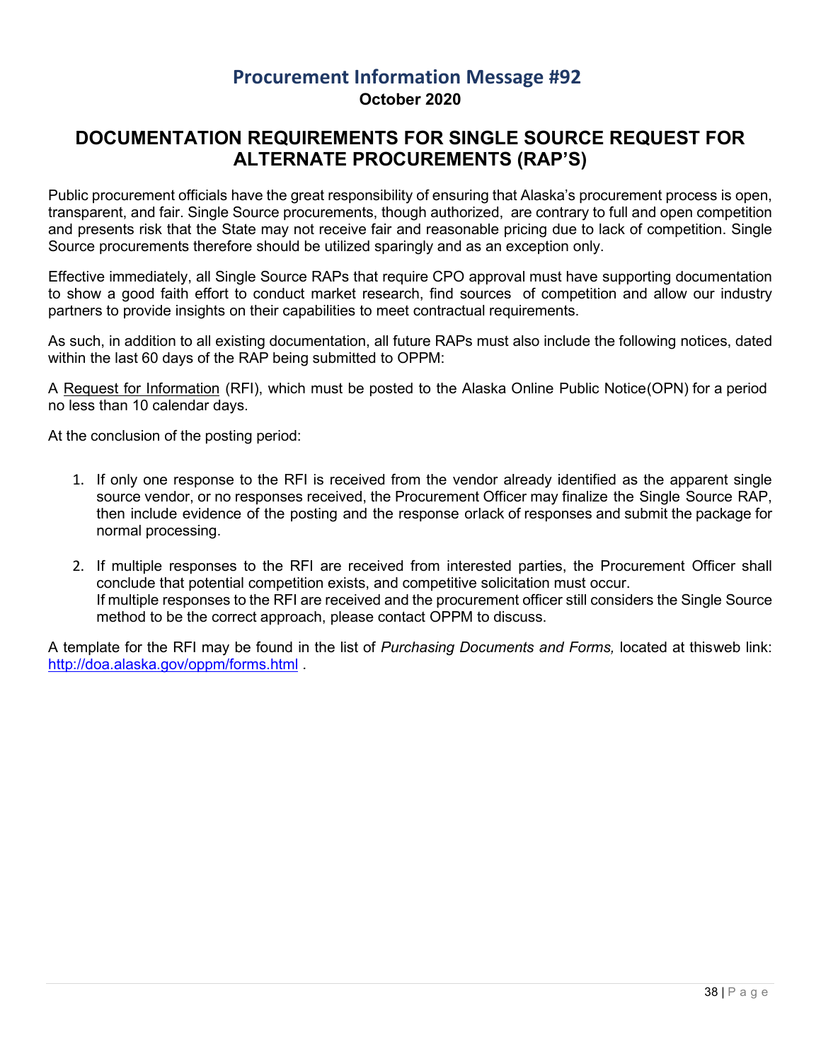## **Procurement Information Message #92 October 2020**

## <span id="page-37-0"></span>**DOCUMENTATION REQUIREMENTS FOR SINGLE SOURCE REQUEST FOR ALTERNATE PROCUREMENTS (RAP'S)**

Public procurement officials have the great responsibility of ensuring that Alaska's procurement process is open, transparent, and fair. Single Source procurements, though authorized, are contrary to full and open competition and presents risk that the State may not receive fair and reasonable pricing due to lack of competition. Single Source procurements therefore should be utilized sparingly and as an exception only.

Effective immediately, all Single Source RAPs that require CPO approval must have supporting documentation to show a good faith effort to conduct market research, find sources of competition and allow our industry partners to provide insights on their capabilities to meet contractual requirements.

As such, in addition to all existing documentation, all future RAPs must also include the following notices, dated within the last 60 days of the RAP being submitted to OPPM:

A Request for Information (RFI), which must be posted to the Alaska Online Public Notice(OPN) for a period no less than 10 calendar days.

At the conclusion of the posting period:

- 1. If only one response to the RFI is received from the vendor already identified as the apparent single source vendor, or no responses received, the Procurement Officer may finalize the Single Source RAP, then include evidence of the posting and the response orlack of responses and submit the package for normal processing.
- 2. If multiple responses to the RFI are received from interested parties, the Procurement Officer shall conclude that potential competition exists, and competitive solicitation must occur. If multiple responses to the RFI are received and the procurement officer still considers the Single Source method to be the correct approach, please contact OPPM to discuss.

A template for the RFI may be found in the list of *Purchasing Documents and Forms,* located at thisweb link: <http://doa.alaska.gov/oppm/forms.html> .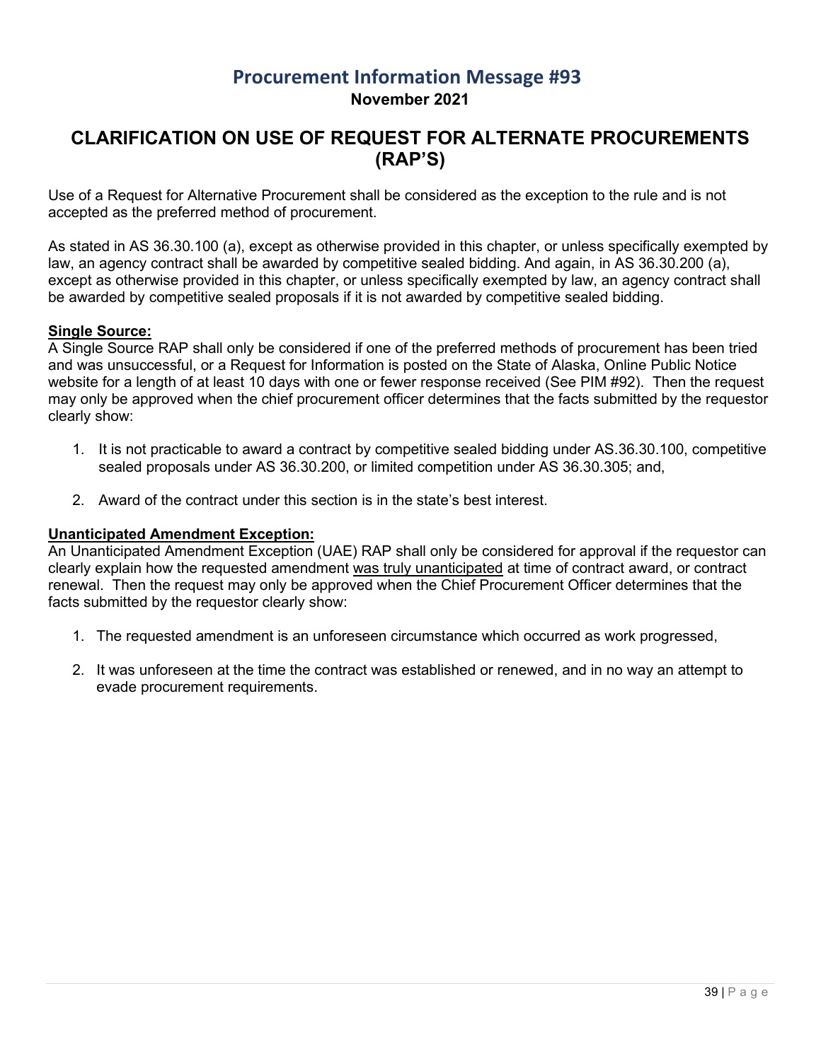#### **Procurement Information Message #93 November 2021**

#### <span id="page-38-0"></span>**CLARIFICATION ON USE OF REQUEST FOR ALTERNATE PROCUREMENTS (RAP'S)**

Use of a Request for Alternative Procurement shall be considered as the exception to the rule and is not accepted as the preferred method of procurement.

As stated in AS 36.30.100 (a), except as otherwise provided in this chapter, or unless specifically exempted by law, an agency contract shall be awarded by competitive sealed bidding. And again, in AS 36.30.200 (a), except as otherwise provided in this chapter, or unless specifically exempted by law, an agency contract shall be awarded by competitive sealed proposals if it is not awarded by competitive sealed bidding.

#### **Single Source:**

A Single Source RAP shall only be considered if one of the preferred methods of procurement has been tried and was unsuccessful, or a Request for Information is posted on the State of Alaska, Online Public Notice website for a length of at least 10 days with one or fewer response received (See PIM #92). Then the request may only be approved when the chief procurement officer determines that the facts submitted by the requestor clearly show:

- 1. It is not practicable to award a contract by competitive sealed bidding under AS.36.30.100, competitive sealed proposals under AS 36.30.200, or limited competition under AS 36.30.305; and,
- 2. Award of the contract under this section is in the state's best interest.

#### **Unanticipated Amendment Exception:**

An Unanticipated Amendment Exception (UAE) RAP shall only be considered for approval if the requestor can clearly explain how the requested amendment was truly unanticipated at time of contract award, or contract renewal. Then the request may only be approved when the Chief Procurement Officer determines that the facts submitted by the requestor clearly show:

- 1. The requested amendment is an unforeseen circumstance which occurred as work progressed,
- 2. It was unforeseen at the time the contract was established or renewed, and in no way an attempt to evade procurement requirements.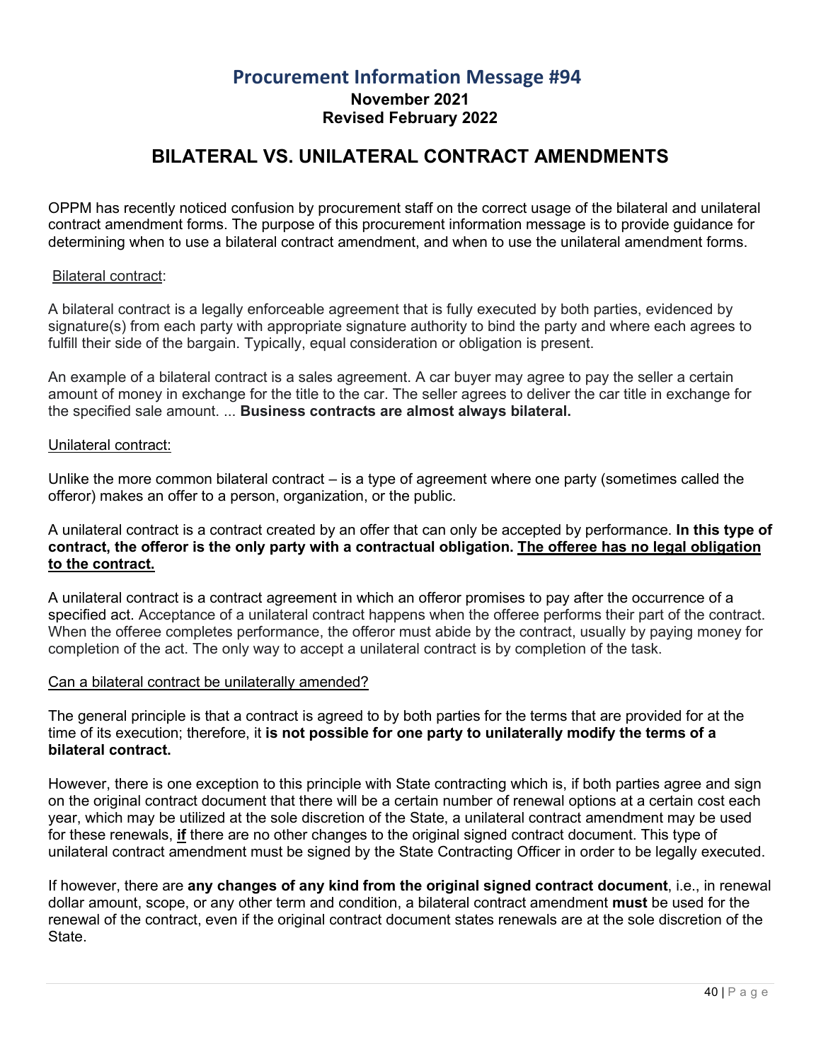#### **Procurement Information Message #94 November 2021 Revised February 2022**

## **BILATERAL VS. UNILATERAL CONTRACT AMENDMENTS**

<span id="page-39-0"></span>OPPM has recently noticed confusion by procurement staff on the correct usage of the bilateral and unilateral contract amendment forms. The purpose of this procurement information message is to provide guidance for determining when to use a bilateral contract amendment, and when to use the unilateral amendment forms.

#### Bilateral contract:

A bilateral contract is a legally enforceable agreement that is fully executed by both parties, evidenced by signature(s) from each party with appropriate signature authority to bind the party and where each agrees to fulfill their side of the bargain. Typically, equal consideration or obligation is present.

An example of a bilateral contract is a sales agreement. A car buyer may agree to pay the seller a certain amount of money in exchange for the title to the car. The seller agrees to deliver the car title in exchange for the specified sale amount. ... **Business contracts are almost always bilateral.**

#### Unilateral contract:

Unlike the more common bilateral contract – is a type of agreement where one party (sometimes called the offeror) makes an offer to a person, organization, or the public.

#### A unilateral contract is a contract created by an offer that can only be accepted by performance. **In this type of contract, the offeror is the only party with a contractual obligation. The offeree has no legal obligation to the contract.**

A unilateral contract is a contract agreement in which an offeror promises to pay after the occurrence of a specified act. Acceptance of a unilateral contract happens when the offeree performs their part of the contract. When the offeree completes performance, the offeror must abide by the contract, usually by paying money for completion of the act. The only way to accept a unilateral contract is by completion of the task.

#### Can a bilateral contract be unilaterally amended?

The general principle is that a contract is agreed to by both parties for the terms that are provided for at the time of its execution; therefore, it **is not possible for one party to unilaterally modify the terms of a bilateral contract.**

However, there is one exception to this principle with State contracting which is, if both parties agree and sign on the original contract document that there will be a certain number of renewal options at a certain cost each year, which may be utilized at the sole discretion of the State, a unilateral contract amendment may be used for these renewals, **if** there are no other changes to the original signed contract document. This type of unilateral contract amendment must be signed by the State Contracting Officer in order to be legally executed.

If however, there are **any changes of any kind from the original signed contract document**, i.e., in renewal dollar amount, scope, or any other term and condition, a bilateral contract amendment **must** be used for the renewal of the contract, even if the original contract document states renewals are at the sole discretion of the State.